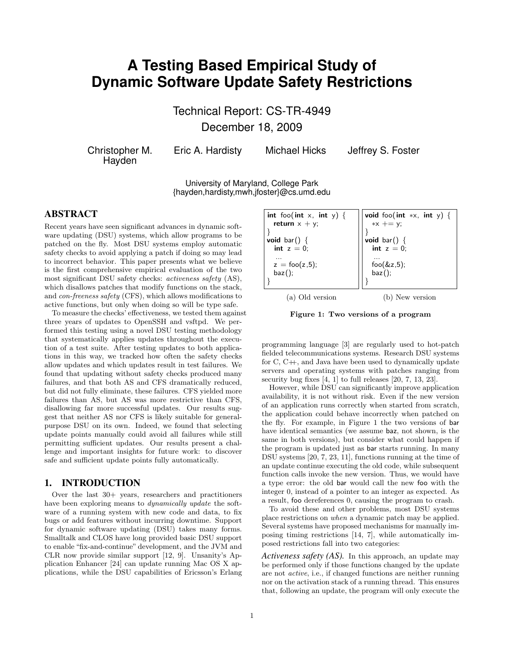# **A Testing Based Empirical Study of Dynamic Software Update Safety Restrictions**

Technical Report: CS-TR-4949 December 18, 2009

Christopher M. **Havden** 

Eric A. Hardisty Michael Hicks Jeffrey S. Foster

University of Maryland, College Park {hayden,hardisty,mwh,jfoster}@cs.umd.edu

# ABSTRACT

Recent years have seen significant advances in dynamic software updating (DSU) systems, which allow programs to be patched on the fly. Most DSU systems employ automatic safety checks to avoid applying a patch if doing so may lead to incorrect behavior. This paper presents what we believe is the first comprehensive empirical evaluation of the two most significant DSU safety checks: activeness safety (AS), which disallows patches that modify functions on the stack, and con-freeness safety (CFS), which allows modifications to active functions, but only when doing so will be type safe.

To measure the checks' effectiveness, we tested them against three years of updates to OpenSSH and vsftpd. We performed this testing using a novel DSU testing methodology that systematically applies updates throughout the execution of a test suite. After testing updates to both applications in this way, we tracked how often the safety checks allow updates and which updates result in test failures. We found that updating without safety checks produced many failures, and that both AS and CFS dramatically reduced, but did not fully eliminate, these failures. CFS yielded more failures than AS, but AS was more restrictive than CFS, disallowing far more successful updates. Our results suggest that neither AS nor CFS is likely suitable for generalpurpose DSU on its own. Indeed, we found that selecting update points manually could avoid all failures while still permitting sufficient updates. Our results present a challenge and important insights for future work: to discover safe and sufficient update points fully automatically.

# 1. INTRODUCTION

Over the last 30+ years, researchers and practitioners have been exploring means to *dynamically update* the software of a running system with new code and data, to fix bugs or add features without incurring downtime. Support for dynamic software updating (DSU) takes many forms. Smalltalk and CLOS have long provided basic DSU support to enable "fix-and-continue" development, and the JVM and CLR now provide similar support [12, 9]. Unsanity's Application Enhancer [24] can update running Mac OS X applications, while the DSU capabilities of Ericsson's Erlang

| int foo(int x, int y) {<br>return $x + y$ ;<br>void bar() $\{$<br>int $z = 0$ : | void foo(int *x, int y) {<br>$*x += y;$<br>void bar() {<br>int $z = 0$ ; |
|---------------------------------------------------------------------------------|--------------------------------------------------------------------------|
| $\cdots$<br>$z = foo(z, 5);$<br>$\mathsf{baz}()$ ;                              | foo $(\&z,5)$ ;<br>$\mathsf{baz}()$ ;                                    |

(a) Old version (b) New version

Figure 1: Two versions of a program

programming language [3] are regularly used to hot-patch fielded telecommunications systems. Research DSU systems for C, C++, and Java have been used to dynamically update servers and operating systems with patches ranging from security bug fixes [4, 1] to full releases [20, 7, 13, 23].

However, while DSU can significantly improve application availability, it is not without risk. Even if the new version of an application runs correctly when started from scratch, the application could behave incorrectly when patched on the fly. For example, in Figure 1 the two versions of bar have identical semantics (we assume baz, not shown, is the same in both versions), but consider what could happen if the program is updated just as bar starts running. In many DSU systems [20, 7, 23, 11], functions running at the time of an update continue executing the old code, while subsequent function calls invoke the new version. Thus, we would have a type error: the old bar would call the new foo with the integer 0, instead of a pointer to an integer as expected. As a result, foo dereferences 0, causing the program to crash.

To avoid these and other problems, most DSU systems place restrictions on when a dynamic patch may be applied. Several systems have proposed mechanisms for manually imposing timing restrictions [14, 7], while automatically imposed restrictions fall into two categories:

*Activeness safety (AS).* In this approach, an update may be performed only if those functions changed by the update are not active, i.e., if changed functions are neither running nor on the activation stack of a running thread. This ensures that, following an update, the program will only execute the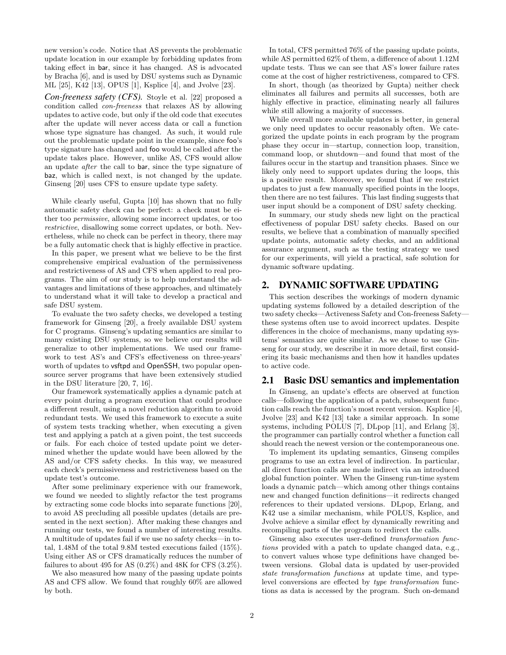new version's code. Notice that AS prevents the problematic update location in our example by forbidding updates from taking effect in bar, since it has changed. AS is advocated by Bracha [6], and is used by DSU systems such as Dynamic ML [25], K42 [13], OPUS [1], Ksplice [4], and Jvolve [23].

*Con-freeness safety (CFS).* Stoyle et al. [22] proposed a condition called con-freeness that relaxes AS by allowing updates to active code, but only if the old code that executes after the update will never access data or call a function whose type signature has changed. As such, it would rule out the problematic update point in the example, since foo's type signature has changed and foo would be called after the update takes place. However, unlike AS, CFS would allow an update after the call to bar, since the type signature of baz, which is called next, is not changed by the update. Ginseng [20] uses CFS to ensure update type safety.

While clearly useful, Gupta [10] has shown that no fully automatic safety check can be perfect: a check must be either too permissive, allowing some incorrect updates, or too restrictive, disallowing some correct updates, or both. Nevertheless, while no check can be perfect in theory, there may be a fully automatic check that is highly effective in practice.

In this paper, we present what we believe to be the first comprehensive empirical evaluation of the permissiveness and restrictiveness of AS and CFS when applied to real programs. The aim of our study is to help understand the advantages and limitations of these approaches, and ultimately to understand what it will take to develop a practical and safe DSU system.

To evaluate the two safety checks, we developed a testing framework for Ginseng [20], a freely available DSU system for C programs. Ginseng's updating semantics are similar to many existing DSU systems, so we believe our results will generalize to other implementations. We used our framework to test AS's and CFS's effectiveness on three-years' worth of updates to **vsftpd** and **OpenSSH**, two popular opensource server programs that have been extensively studied in the DSU literature [20, 7, 16].

Our framework systematically applies a dynamic patch at every point during a program execution that could produce a different result, using a novel reduction algorithm to avoid redundant tests. We used this framework to execute a suite of system tests tracking whether, when executing a given test and applying a patch at a given point, the test succeeds or fails. For each choice of tested update point we determined whether the update would have been allowed by the AS and/or CFS safety checks. In this way, we measured each check's permissiveness and restrictiveness based on the update test's outcome.

After some preliminary experience with our framework, we found we needed to slightly refactor the test programs by extracting some code blocks into separate functions [20], to avoid AS precluding all possible updates (details are presented in the next section). After making these changes and running our tests, we found a number of interesting results. A multitude of updates fail if we use no safety checks—in total, 1.48M of the total 9.8M tested executions failed (15%). Using either AS or CFS dramatically reduces the number of failures to about 495 for AS  $(0.2\%)$  and 48K for CFS  $(3.2\%)$ .

We also measured how many of the passing update points AS and CFS allow. We found that roughly 60% are allowed by both.

In total, CFS permitted 76% of the passing update points, while AS permitted 62% of them, a difference of about 1.12M update tests. Thus we can see that AS's lower failure rates come at the cost of higher restrictiveness, compared to CFS.

In short, though (as theorized by Gupta) neither check eliminates all failures and permits all successes, both are highly effective in practice, eliminating nearly all failures while still allowing a majority of successes.

While overall more available updates is better, in general we only need updates to occur reasonably often. We categorized the update points in each program by the program phase they occur in—startup, connection loop, transition, command loop, or shutdown—and found that most of the failures occur in the startup and transition phases. Since we likely only need to support updates during the loops, this is a positive result. Moreover, we found that if we restrict updates to just a few manually specified points in the loops, then there are no test failures. This last finding suggests that user input should be a component of DSU safety checking.

In summary, our study sheds new light on the practical effectiveness of popular DSU safety checks. Based on our results, we believe that a combination of manually specified update points, automatic safety checks, and an additional assurance argument, such as the testing strategy we used for our experiments, will yield a practical, safe solution for dynamic software updating.

## 2. DYNAMIC SOFTWARE UPDATING

This section describes the workings of modern dynamic updating systems followed by a detailed description of the two safety checks—Activeness Safety and Con-freeness Safety these systems often use to avoid incorrect updates. Despite differences in the choice of mechanisms, many updating systems' semantics are quite similar. As we chose to use Ginseng for our study, we describe it in more detail, first considering its basic mechanisms and then how it handles updates to active code.

## 2.1 Basic DSU semantics and implementation

In Ginseng, an update's effects are observed at function calls—following the application of a patch, subsequent function calls reach the function's most recent version. Ksplice [4], Jvolve [23] and K42 [13] take a similar approach. In some systems, including POLUS [7], DLpop [11], and Erlang [3], the programmer can partially control whether a function call should reach the newest version or the contemporaneous one.

To implement its updating semantics, Ginseng compiles programs to use an extra level of indirection. In particular, all direct function calls are made indirect via an introduced global function pointer. When the Ginseng run-time system loads a dynamic patch—which among other things contains new and changed function definitions—it redirects changed references to their updated versions. DLpop, Erlang, and K42 use a similar mechanism, while POLUS, Ksplice, and Jvolve achieve a similar effect by dynamically rewriting and recompiling parts of the program to redirect the calls.

Ginseng also executes user-defined transformation functions provided with a patch to update changed data, e.g., to convert values whose type definitions have changed between versions. Global data is updated by user-provided state transformation functions at update time, and typelevel conversions are effected by type transformation functions as data is accessed by the program. Such on-demand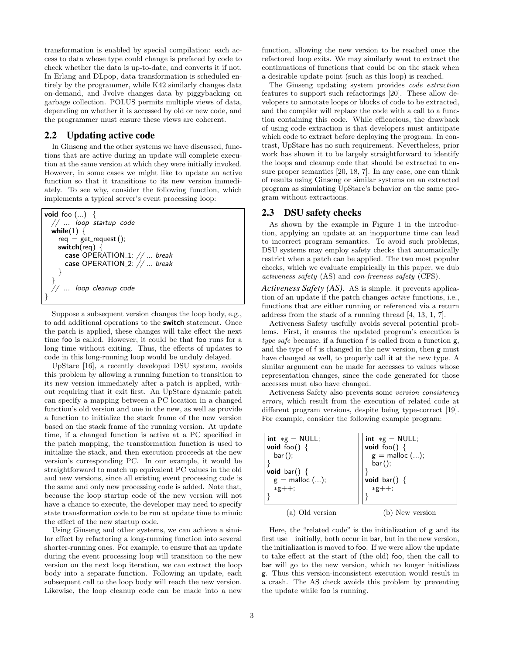transformation is enabled by special compilation: each access to data whose type could change is prefaced by code to check whether the data is up-to-date, and converts it if not. In Erlang and DLpop, data transformation is scheduled entirely by the programmer, while K42 similarly changes data on-demand, and Jvolve changes data by piggybacking on garbage collection. POLUS permits multiple views of data, depending on whether it is accessed by old or new code, and the programmer must ensure these views are coherent.

## 2.2 Updating active code

In Ginseng and the other systems we have discussed, functions that are active during an update will complete execution at the same version at which they were initially invoked. However, in some cases we might like to update an active function so that it transitions to its new version immediately. To see why, consider the following function, which implements a typical server's event processing loop:

```
void foo (...) {
  // ... loop startup code
 while(1) {
   req = get\_request();
   switch(req) \{case OPERATION_1: // ... break
      case OPERATION_2: // ... break
    }
  }
     ... loop cleanup code
}
```
Suppose a subsequent version changes the loop body, e.g., to add additional operations to the switch statement. Once the patch is applied, these changes will take effect the next time foo is called. However, it could be that foo runs for a long time without exiting. Thus, the effects of updates to code in this long-running loop would be unduly delayed.

UpStare [16], a recently developed DSU system, avoids this problem by allowing a running function to transition to its new version immediately after a patch is applied, without requiring that it exit first. An UpStare dynamic patch can specify a mapping between a PC location in a changed function's old version and one in the new, as well as provide a function to initialize the stack frame of the new version based on the stack frame of the running version. At update time, if a changed function is active at a PC specified in the patch mapping, the transformation function is used to initialize the stack, and then execution proceeds at the new version's corresponding PC. In our example, it would be straightforward to match up equivalent PC values in the old and new versions, since all existing event processing code is the same and only new processing code is added. Note that, because the loop startup code of the new version will not have a chance to execute, the developer may need to specify state transformation code to be run at update time to mimic the effect of the new startup code.

Using Ginseng and other systems, we can achieve a similar effect by refactoring a long-running function into several shorter-running ones. For example, to ensure that an update during the event processing loop will transition to the new version on the next loop iteration, we can extract the loop body into a separate function. Following an update, each subsequent call to the loop body will reach the new version. Likewise, the loop cleanup code can be made into a new function, allowing the new version to be reached once the refactored loop exits. We may similarly want to extract the continuations of functions that could be on the stack when a desirable update point (such as this loop) is reached.

The Ginseng updating system provides code extraction features to support such refactorings [20]. These allow developers to annotate loops or blocks of code to be extracted, and the compiler will replace the code with a call to a function containing this code. While efficacious, the drawback of using code extraction is that developers must anticipate which code to extract before deploying the program. In contrast, UpStare has no such requirement. Nevertheless, prior work has shown it to be largely straightforward to identify the loops and cleanup code that should be extracted to ensure proper semantics [20, 18, 7]. In any case, one can think of results using Ginseng or similar systems on an extracted program as simulating UpStare's behavior on the same program without extractions.

#### 2.3 DSU safety checks

As shown by the example in Figure 1 in the introduction, applying an update at an inopportune time can lead to incorrect program semantics. To avoid such problems, DSU systems may employ safety checks that automatically restrict when a patch can be applied. The two most popular checks, which we evaluate empirically in this paper, we dub activeness safety (AS) and con-freeness safety (CFS).

*Activeness Safety (AS).* AS is simple: it prevents application of an update if the patch changes active functions, i.e., functions that are either running or referenced via a return address from the stack of a running thread [4, 13, 1, 7].

Activeness Safety usefully avoids several potential problems. First, it ensures the updated program's execution is type safe because, if a function f is called from a function g, and the type of f is changed in the new version, then g must have changed as well, to properly call it at the new type. A similar argument can be made for accesses to values whose representation changes, since the code generated for those accesses must also have changed.

Activeness Safety also prevents some version consistency errors, which result from the execution of related code at different program versions, despite being type-correct [19]. For example, consider the following example program:

| int $*g = NULL;$<br><b>void</b> foo() {<br>$bar()$ ;<br>void bar() $\{$<br>$g =$ malloc $();$<br>$*g++;$ | $int \cdot sg = NULL;$<br>void foo() $\{$<br>$g = \text{mailloc}$ ();<br>$bar()$ ;<br><b>void</b> bar() {<br>$*g++;$ |
|----------------------------------------------------------------------------------------------------------|----------------------------------------------------------------------------------------------------------------------|
| (a) Old version                                                                                          | (b) New version                                                                                                      |

Here, the "related code" is the initialization of g and its first use—initially, both occur in bar, but in the new version, the initialization is moved to foo. If we were allow the update to take effect at the start of (the old) foo, then the call to bar will go to the new version, which no longer initializes g. Thus this version-inconsistent execution would result in a crash. The AS check avoids this problem by preventing the update while foo is running.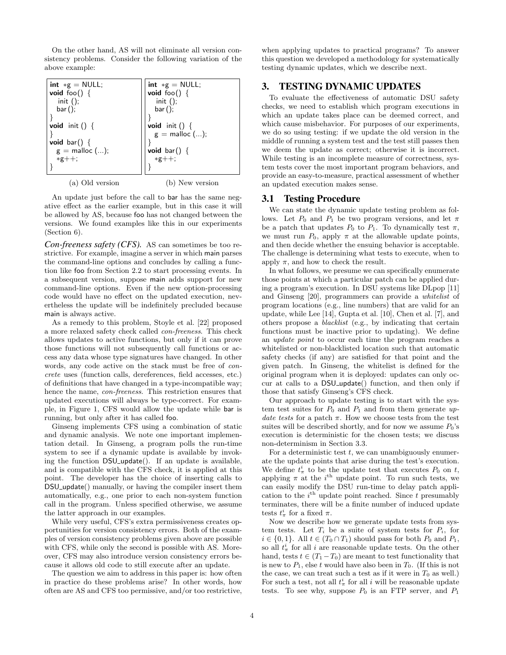On the other hand, AS will not eliminate all version consistency problems. Consider the following variation of the above example:

| int $*g = NULL;$      | int $*g = NULL;$      |
|-----------------------|-----------------------|
| <b>void</b> foo() {   | <b>void</b> foo() {   |
| $init()$ ;            | init $()$ ;           |
| $bar()$ ;             | $bar()$ ;             |
|                       |                       |
| <b>void</b> init () { | <b>void</b> init () { |
|                       | $g =$ malloc $();$    |
| <b>void</b> bar() {   |                       |
| $g =$ malloc $();$    | void bar() $\{$       |
| $*g++;$               | $*g++;$               |
|                       |                       |
| (a) Old version       | (b) New version       |

An update just before the call to bar has the same negative effect as the earlier example, but in this case it will be allowed by AS, because foo has not changed between the versions. We found examples like this in our experiments (Section 6).

*Con-freeness safety (CFS).* AS can sometimes be too restrictive. For example, imagine a server in which main parses the command-line options and concludes by calling a function like foo from Section 2.2 to start processing events. In a subsequent version, suppose main adds support for new command-line options. Even if the new option-processing code would have no effect on the updated execution, nevertheless the update will be indefinitely precluded because main is always active.

As a remedy to this problem, Stoyle et al. [22] proposed a more relaxed safety check called con-freeness. This check allows updates to active functions, but only if it can prove those functions will not subsequently call functions or access any data whose type signatures have changed. In other words, any code active on the stack must be free of *con*crete uses (function calls, dereferences, field accesses, etc.) of definitions that have changed in a type-incompatible way; hence the name, con-freeness. This restriction ensures that updated executions will always be type-correct. For example, in Figure 1, CFS would allow the update while bar is running, but only after it has called foo.

Ginseng implements CFS using a combination of static and dynamic analysis. We note one important implementation detail. In Ginseng, a program polls the run-time system to see if a dynamic update is available by invoking the function DSU\_update(). If an update is available, and is compatible with the CFS check, it is applied at this point. The developer has the choice of inserting calls to DSU<sub>-update</sub>() manually, or having the compiler insert them automatically, e.g., one prior to each non-system function call in the program. Unless specified otherwise, we assume the latter approach in our examples.

While very useful, CFS's extra permissiveness creates opportunities for version consistency errors. Both of the examples of version consistency problems given above are possible with CFS, while only the second is possible with AS. Moreover, CFS may also introduce version consistency errors because it allows old code to still execute after an update.

The question we aim to address in this paper is: how often in practice do these problems arise? In other words, how often are AS and CFS too permissive, and/or too restrictive, when applying updates to practical programs? To answer this question we developed a methodology for systematically testing dynamic updates, which we describe next.

# 3. TESTING DYNAMIC UPDATES

To evaluate the effectiveness of automatic DSU safety checks, we need to establish which program executions in which an update takes place can be deemed correct, and which cause misbehavior. For purposes of our experiments, we do so using testing: if we update the old version in the middle of running a system test and the test still passes then we deem the update as correct; otherwise it is incorrect. While testing is an incomplete measure of correctness, system tests cover the most important program behaviors, and provide an easy-to-measure, practical assessment of whether an updated execution makes sense.

#### 3.1 Testing Procedure

We can state the dynamic update testing problem as follows. Let  $P_0$  and  $P_1$  be two program versions, and let  $\pi$ be a patch that updates  $P_0$  to  $P_1$ . To dynamically test  $\pi$ , we must run  $P_0$ , apply  $\pi$  at the allowable update points, and then decide whether the ensuing behavior is acceptable. The challenge is determining what tests to execute, when to apply  $\pi$ , and how to check the result.

In what follows, we presume we can specifically enumerate those points at which a particular patch can be applied during a program's execution. In DSU systems like DLpop [11] and Ginseng [20], programmers can provide a whitelist of program locations (e.g., line numbers) that are valid for an update, while Lee [14], Gupta et al. [10], Chen et al. [7], and others propose a blacklist (e.g., by indicating that certain functions must be inactive prior to updating). We define an update point to occur each time the program reaches a whitelisted or non-blacklisted location such that automatic safety checks (if any) are satisfied for that point and the given patch. In Ginseng, the whitelist is defined for the original program when it is deployed: updates can only occur at calls to a DSU<sub>-update</sub> () function, and then only if those that satisfy Ginseng's CFS check.

Our approach to update testing is to start with the system test suites for  $P_0$  and  $P_1$  and from them generate update tests for a patch  $\pi$ . How we choose tests from the test suites will be described shortly, and for now we assume  $P_0$ 's execution is deterministic for the chosen tests; we discuss non-determinism in Section 3.3.

For a deterministic test  $t$ , we can unambiguously enumerate the update points that arise during the test's execution. We define  $t^i_\pi$  to be the update test that executes  $P_0$  on t, applying  $\pi$  at the i<sup>th</sup> update point. To run such tests, we can easily modify the DSU run-time to delay patch application to the  $i<sup>th</sup>$  update point reached. Since t presumably terminates, there will be a finite number of induced update tests  $t^i_\pi$  for a fixed  $\pi$ .

Now we describe how we generate update tests from system tests. Let  $T_i$  be a suite of system tests for  $P_i$ , for  $i \in \{0, 1\}$ . All  $t \in (T_0 \cap T_1)$  should pass for both  $P_0$  and  $P_1$ , so all  $t^i_{\pi}$  for all i are reasonable update tests. On the other hand, tests  $t \in (T_1 - T_0)$  are meant to test functionality that is new to  $P_1$ , else t would have also been in  $T_0$ . (If this is not the case, we can treat such a test as if it were in  $T_0$  as well.) For such a test, not all  $t^i_{\pi}$  for all i will be reasonable update tests. To see why, suppose  $P_0$  is an FTP server, and  $P_1$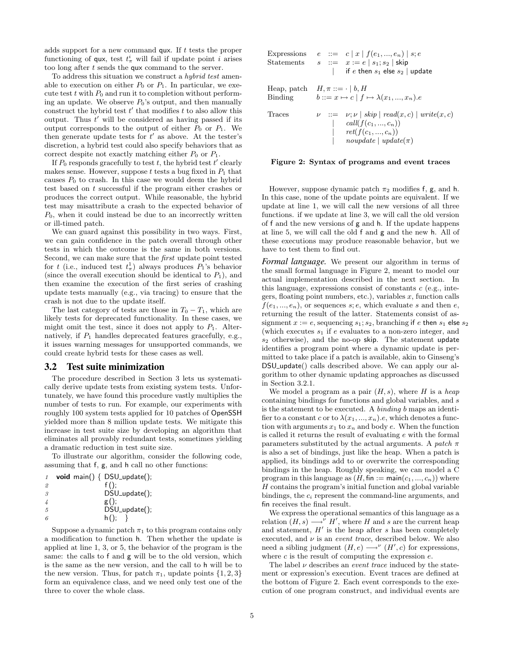adds support for a new command  $qux$ . If t tests the proper functioning of qux, test  $t^i_{\pi}$  will fail if update point *i* arises too long after t sends the qux command to the server.

To address this situation we construct a hybrid test amenable to execution on either  $P_0$  or  $P_1$ . In particular, we execute test  $t$  with  $P_0$  and run it to completion without performing an update. We observe  $P_0$ 's output, and then manually construct the hybrid test  $t'$  that modifies  $t$  to also allow this output. Thus  $t'$  will be considered as having passed if its output corresponds to the output of either  $P_0$  or  $P_1$ . We then generate update tests for  $t'$  as above. At the tester's discretion, a hybrid test could also specify behaviors that as correct despite not exactly matching either  $P_0$  or  $P_1$ .

If  $P_0$  responds gracefully to test t, the hybrid test t' clearly makes sense. However, suppose  $t$  tests a bug fixed in  $P_1$  that causes  $P_0$  to crash. In this case we would deem the hybrid test based on t successful if the program either crashes or produces the correct output. While reasonable, the hybrid test may misattribute a crash to the expected behavior of  $P_0$ , when it could instead be due to an incorrectly written or ill-timed patch.

We can guard against this possibility in two ways. First, we can gain confidence in the patch overall through other tests in which the outcome is the same in both versions. Second, we can make sure that the first update point tested for t (i.e., induced test  $t_{\pi}^{1}$ ) always produces  $P_{1}$ 's behavior (since the overall execution should be identical to  $P_1$ ), and then examine the execution of the first series of crashing update tests manually (e.g., via tracing) to ensure that the crash is not due to the update itself.

The last category of tests are those in  $T_0 - T_1$ , which are likely tests for deprecated functionality. In these cases, we might omit the test, since it does not apply to  $P_1$ . Alternatively, if  $P_1$  handles deprecated features gracefully, e.g., it issues warning messages for unsupported commands, we could create hybrid tests for these cases as well.

#### 3.2 Test suite minimization

The procedure described in Section 3 lets us systematically derive update tests from existing system tests. Unfortunately, we have found this procedure vastly multiplies the number of tests to run. For example, our experiments with roughly 100 system tests applied for 10 patches of OpenSSH yielded more than 8 million update tests. We mitigate this increase in test suite size by developing an algorithm that eliminates all provably redundant tests, sometimes yielding a dramatic reduction in test suite size.

To illustrate our algorithm, consider the following code, assuming that f, g, and h call no other functions:

| $\mathcal{I}$  | void main() $\{$ DSU_update(); |
|----------------|--------------------------------|
| $\mathfrak{D}$ | $f()$ :                        |
| $\mathcal{S}$  | DSU_update();                  |
|                | g();                           |
| 5              | DSU_update();                  |
| 6              | h()                            |

Suppose a dynamic patch  $\pi_1$  to this program contains only a modification to function h. Then whether the update is applied at line 1, 3, or 5, the behavior of the program is the same: the calls to f and g will be to the old version, which is the same as the new version, and the call to h will be to the new version. Thus, for patch  $\pi_1$ , update points  $\{1, 2, 3\}$ form an equivalence class, and we need only test one of the three to cover the whole class.

|        | Expressions $e ::= c   x   f(e_1, , e_n)   s; e$<br>Statements $s ::= x := e   s_1; s_2  $ skip<br>  if e then $s_1$ else $s_2$   update                           |
|--------|--------------------------------------------------------------------------------------------------------------------------------------------------------------------|
|        | Heap, patch $H, \pi ::= \cdot   b, H$<br>Binding $b ::= x \mapsto c \mid f \mapsto \lambda(x_1, , x_n).e$                                                          |
| Traces | $\nu := \nu; \nu \mid skip \mid read(x, c) \mid write(x, c)$<br>  $call(f(c_1, , c_n))$<br>  $ret(f(c_1, , c_n))$<br>$\mathit{nonplate} \mid \mathit{update}(\pi)$ |

#### Figure 2: Syntax of programs and event traces

However, suppose dynamic patch  $\pi_2$  modifies f, g, and h. In this case, none of the update points are equivalent. If we update at line 1, we will call the new versions of all three functions. if we update at line 3, we will call the old version of f and the new versions of g and h. If the update happens at line 5, we will call the old f and g and the new h. All of these executions may produce reasonable behavior, but we have to test them to find out.

*Formal language.* We present our algorithm in terms of the small formal language in Figure 2, meant to model our actual implementation described in the next section. In this language, expressions consist of constants  $c$  (e.g., integers, floating point numbers, etc.), variables  $x$ , function calls  $f(e_1, ..., e_n)$ , or sequences s; e, which evaluate s and then e, returning the result of the latter. Statements consist of assignment  $x := e$ , sequencing  $s_1; s_2$ , branching if e then  $s_1$  else  $s_2$ (which executes  $s_1$  if e evaluates to a non-zero integer, and  $s_2$  otherwise), and the no-op skip. The statement update identifies a program point where a dynamic update is permitted to take place if a patch is available, akin to Ginseng's DSU<sub>-update</sub>() calls described above. We can apply our algorithm to other dynamic updating approaches as discussed in Section 3.2.1.

We model a program as a pair  $(H, s)$ , where H is a heap containing bindings for functions and global variables, and s is the statement to be executed. A binding b maps an identifier to a constant c or to  $\lambda(x_1, ..., x_n)$ .e, which denotes a function with arguments  $x_1$  to  $x_n$  and body  $e$ . When the function is called it returns the result of evaluating e with the formal parameters substituted by the actual arguments. A patch  $\pi$ is also a set of bindings, just like the heap. When a patch is applied, its bindings add to or overwrite the corresponding bindings in the heap. Roughly speaking, we can model a C program in this language as  $(H, \text{fin} := \text{main}(c_1, ..., c_n))$  where  $H$  contains the program's initial function and global variable bindings, the  $c_i$  represent the command-line arguments, and fin receives the final result.

We express the operational semantics of this language as a relation  $(H, s) \longrightarrow^{\nu} H'$ , where H and s are the current heap and statement,  $H'$  is the heap after s has been completely executed, and  $\nu$  is an *event trace*, described below. We also need a sibling judgment  $(H, e) \longrightarrow^{\nu} (H', c)$  for expressions, where  $c$  is the result of computing the expression  $e$ .

The label  $\nu$  describes an *event trace* induced by the statement or expression's execution. Event traces are defined at the bottom of Figure 2. Each event corresponds to the execution of one program construct, and individual events are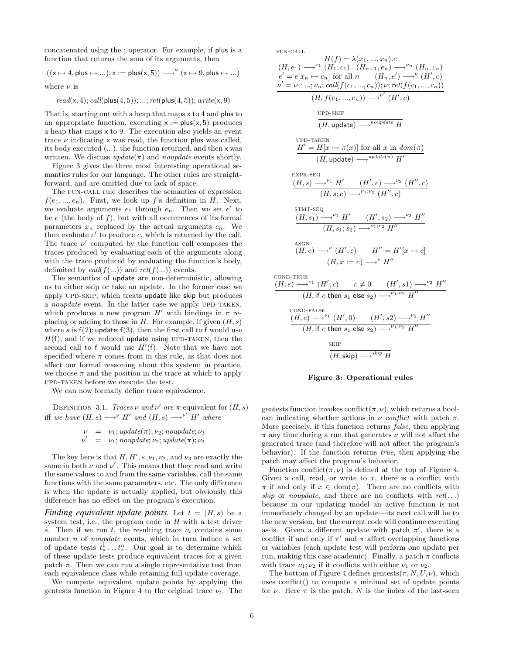concatenated using the ; operator. For example, if plus is a function that returns the sum of its arguments, then

$$
((\mathsf{x}\mapsto 4,\mathsf{plus}\mapsto...),\mathsf{x}:=\mathsf{plus}(\mathsf{x},5))\longrightarrow^\nu(\mathsf{x}\mapsto 9,\mathsf{plus}\mapsto...)
$$

where  $\nu$  is

$$
read(x, 4); call(\text{plus}(4, 5)); \ldots; ret(\text{plus}(4, 5)); write(x, 9)
$$

That is, starting out with a heap that maps x to 4 and plus to an appropriate function, executing  $x := plus(x, 5)$  produces a heap that maps x to 9. The execution also yields an event trace  $\nu$  indicating x was read, the function plus was called, its body executed (...), the function returned, and then x was written. We discuss  $update(\pi)$  and noupdate events shortly.

Figure 3 gives the three most interesting operational semantics rules for our language. The other rules are straightforward, and are omitted due to lack of space.

The fun-call rule describes the semantics of expression  $f(e_1, ..., e_n)$ . First, we look up f's definition in H. Next, we evaluate arguments  $e_1$  through  $e_n$ . Then we set  $e'$  to be  $e$  (the body of  $f$ ), but with all occurrences of its formal parameters  $x_n$  replaced by the actual arguments  $c_n$ . We then evaluate  $e'$  to produce  $c$ , which is returned by the call. The trace  $\nu'$  computed by the function call composes the traces produced by evaluating each of the arguments along with the trace produced by evaluating the function's body, delimited by call( $f(...)$ ) and ret( $f(...)$ ) events.

The semantics of update are non-deterministic, allowing us to either skip or take an update. In the former case we apply UPD-SKIP, which treats update like skip but produces a noupdate event. In the latter case we apply UPD-TAKEN, which produces a new program  $H'$  with bindings in  $\pi$  replacing or adding to those in  $H$ . For example, if given  $(H, s)$ where s is  $f(2)$ ; update;  $f(3)$ , then the first call to f would use  $H(f)$ , and if we reduced update using UPD-TAKEN, then the second call to f would use  $H'(\mathsf{f})$ . Note that we have not specified where  $\pi$  comes from in this rule, as that does not affect our formal reasoning about this system; in practice, we choose  $\pi$  and the position in the trace at which to apply upd-taken before we execute the test.

We can now formally define trace equivalence.

DEFINITION 3.1. Traces  $\nu$  and  $\nu'$  are  $\pi$ -equivalent for  $(H, s)$ iff we have  $(H, s) \longrightarrow^{\nu} H'$  and  $(H, s) \longrightarrow^{\nu'} H'$  where

$$
\begin{array}{rcl}\n\nu & = & \nu_1; \, update(\pi); \nu_2; \, noupdate; \nu_3 \\
\nu' & = & \nu_1; \, noupdate; \nu_2; \, update(\pi); \nu_3\n\end{array}
$$

The key here is that  $H, H', s, \nu_1, \nu_2$ , and  $\nu_3$  are exactly the same in both  $\nu$  and  $\nu'$ . This means that they read and write the same values to and from the same variables, call the same functions with the same parameters, etc. The only difference is when the update is actually applied, but obviously this difference has no effect on the program's execution.

*Finding equivalent update points.* Let  $t = (H, s)$  be a system test, i.e., the program code in  $H$  with a test driver s. Then if we run t, the resulting trace  $\nu_t$  contains some number *n* of *noupdate* events, which in turn induce a set of update tests  $t^1_{\pi} \dots t^n_{\pi}$ . Our goal is to determine which of these update tests produce equivalent traces for a given patch  $\pi$ . Then we can run a single representative test from each equivalence class while retaining full update coverage.

We compute equivalent update points by applying the gentests function in Figure 4 to the original trace  $\nu_t$ . The  $FIM-CAL$ 

$$
H(f) = \lambda(x_1, ..., x_n).e
$$
\n
$$
(H, e_1) \rightarrow^{\nu_1} (H_1, c_1) \dots (H_{n-1}, e_n) \rightarrow^{\nu_n} (H_n, c_n)
$$
\n
$$
e' = e[x_n \mapsto c_n] \text{ for all } n \quad (H_n, e') \rightarrow^{\nu} (H', c)
$$
\n
$$
\frac{\nu' = \nu_1, ..., \nu_n; \text{call}(f(c_1, ..., c_n)); \nu; \text{ret}(f(c_1, ..., c_n))}{(H, f(e_1, ..., e_n)) \rightarrow^{\nu'} (H', c)}
$$
\n
$$
\frac{\text{upD-SKIP}}{(H, \text{update}) \rightarrow^{\text{nouplate}} H}
$$
\n
$$
\frac{\text{upD-TAKEN}}{(H, \text{update}) \rightarrow^{\text{nouplate}} H}
$$
\n
$$
\frac{\text{H} \cdot \text{H} \cdot \text{H} \cdot \text{H} \cdot \text{H} \cdot \text{H} \cdot \text{H} \cdot \text{H} \cdot \text{H} \cdot \text{H} \cdot \text{H} \cdot \text{H} \cdot \text{H} \cdot \text{H} \cdot \text{H} \cdot \text{H} \cdot \text{H} \cdot \text{H} \cdot \text{H} \cdot \text{H} \cdot \text{H} \cdot \text{H} \cdot \text{H} \cdot \text{H} \cdot \text{H} \cdot \text{H} \cdot \text{H} \cdot \text{H} \cdot \text{H} \cdot \text{H} \cdot \text{H} \cdot \text{H} \cdot \text{H} \cdot \text{H} \cdot \text{H} \cdot \text{H} \cdot \text{H} \cdot \text{H} \cdot \text{H} \cdot \text{H} \cdot \text{H} \cdot \text{H} \cdot \text{H} \cdot \text{H} \cdot \text{H} \cdot \text{H} \cdot \text{H} \cdot \text{H} \cdot \text{H} \cdot \text{H} \cdot \text{H} \cdot \text{H} \cdot \text{H} \cdot \text{H} \cdot \text{H} \cdot \text{H} \cdot \text{H} \cdot \text{H} \cdot \text{H} \cdot \text{H} \cdot \text{H} \cdot \text{H} \cdot \text{H} \cdot \text{H} \cdot \text{H} \cdot \text{H} \cdot \text{H} \cdot \text
$$



gentests function invokes conflict $(\pi, \nu)$ , which returns a boolean indicating whether actions in  $\nu$  conflict with patch  $\pi$ . More precisely, if this function returns false, then applying  $\pi$ any time during a run that generates  $\nu$  will not affect the generated trace (and therefore will not affect the program's behavior). If the function returns true, then applying the patch may affect the program's behavior.

Function conflict( $\pi, \nu$ ) is defined at the top of Figure 4. Given a call, read, or write to  $x$ , there is a conflict with  $\pi$  if and only if  $x \in \text{dom}(\pi)$ . There are no conflicts with skip or noupdate, and there are no conflicts with  $ret(\ldots)$ because in our updating model an active function is not immediately changed by an update—its next call will be to the new version, but the current code will continue executing as-is. Given a different update with patch  $\pi'$ , there is a conflict if and only if  $\pi'$  and  $\pi$  affect overlapping functions or variables (each update test will perform one update per run, making this case academic). Finally, a patch  $\pi$  conflicts with trace  $\nu_1$ ;  $\nu_2$  if it conflicts with either  $\nu_1$  or  $\nu_2$ .

The bottom of Figure 4 defines gentests $(\pi, N, U, \nu)$ , which uses conflict() to compute a minimal set of update points for  $\nu$ . Here  $\pi$  is the patch, N is the index of the last-seen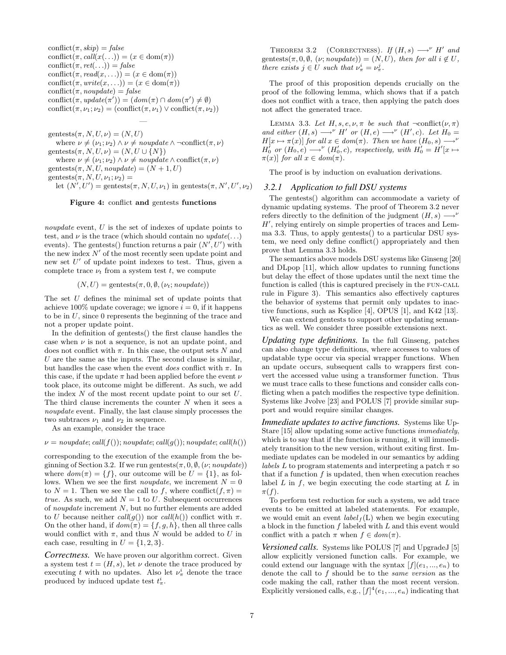conflict( $\pi$ , skip) = false conflict( $\pi$ , call( $x$ (...)) = ( $x \in \text{dom}(\pi)$ ) conflict( $\pi, ret(\ldots)$ ) = false conflict( $\pi, read(x, \ldots)$ ) = ( $x \in dom(\pi)$ ) conflict( $\pi, write(x, ...)$ ) = ( $x \in dom(\pi)$ ) conflict( $\pi$ , *noupdate*) = false conflict $(\pi, update(\pi')) = (dom(\pi) \cap dom(\pi')) \neq \emptyset)$ conflict( $\pi, \nu_1; \nu_2$ ) = (conflict( $\pi, \nu_1$ )  $\vee$  conflict( $\pi, \nu_2$ ))

gentests $(\pi, N, U, \nu) = (N, U)$ where  $\nu \neq (\nu_1; \nu_2) \land \nu \neq \text{nonplate} \land \neg \text{conflict}(\pi, \nu)$ gentests $(\pi, N, U, \nu) = (N, U \cup \{N\})$ where  $\nu \neq (\nu_1; \nu_2) \land \nu \neq \text{nonupdate} \land \text{conflict}(\pi, \nu)$ gentests $(\pi, N, U, n \text{ouplate}) = (N + 1, U)$ gentests $(\pi, N, U, \nu_1; \nu_2)$  = let  $(N', U')$  = gentests $(\pi, N, U, \nu_1)$  in gentests $(\pi, N', U', \nu_2)$ 

—

#### Figure 4: conflict and gentests functions

noupdate event, U is the set of indexes of update points to test, and  $\nu$  is the trace (which should contain no  $update(\ldots)$ events). The gentests() function returns a pair  $(N^{\prime}, U^{\prime})$  with the new index  $N'$  of the most recently seen update point and new set  $U'$  of update point indexes to test. Thus, given a complete trace  $\nu_t$  from a system test t, we compute

 $(N, U) = \text{gentests}(\pi, 0, \emptyset, (\nu_t; \textit{nonplate}))$ 

The set U defines the minimal set of update points that achieve 100% update coverage; we ignore  $i = 0$ , if it happens to be in  $U$ , since 0 represents the beginning of the trace and not a proper update point.

In the definition of gentests() the first clause handles the case when  $\nu$  is not a sequence, is not an update point, and does not conflict with  $\pi$ . In this case, the output sets N and  $U$  are the same as the inputs. The second clause is similar, but handles the case when the event does conflict with  $\pi$ . In this case, if the update  $\pi$  had been applied before the event  $\nu$ took place, its outcome might be different. As such, we add the index  $N$  of the most recent update point to our set  $U$ . The third clause increments the counter  $N$  when it sees a noupdate event. Finally, the last clause simply processes the two subtraces  $\nu_1$  and  $\nu_2$  in sequence.

As an example, consider the trace

 $\nu = n\text{ouplate}; \text{call}(f())$ ; noupdate; call $(q))$ ; noupdate; call $(h())$ 

corresponding to the execution of the example from the beginning of Section 3.2. If we run gentests $(\pi, 0, \emptyset, (\nu; nouplate))$ where  $dom(\pi) = \{f\}$ , our outcome will be  $U = \{1\}$ , as follows. When we see the first *noupdate*, we increment  $N = 0$ to  $N = 1$ . Then we see the call to f, where conflict(f,  $\pi$ ) = true. As such, we add  $N = 1$  to U. Subsequent occurrences of noupdate increment N, but no further elements are added to U because neither call(g()) nor call(h()) conflict with  $\pi$ . On the other hand, if  $dom(\pi) = \{f, g, h\}$ , then all three calls would conflict with  $\pi$ , and thus N would be added to U in each case, resulting in  $U = \{1, 2, 3\}.$ 

*Correctness.* We have proven our algorithm correct. Given a system test  $t = (H, s)$ , let  $\nu$  denote the trace produced by executing t with no updates. Also let  $\nu^i_\pi$  denote the trace produced by induced update test  $t^i_{\pi}$ .

THEOREM 3.2 (CORRECTNESS). If  $(H, s) \longrightarrow^{\nu} H'$  and gentests $(\pi, 0, \emptyset, (\nu; nouplate)) = (N, U)$ , then for all  $i \notin U$ , there exists  $j \in U$  such that  $\nu^i_\pi = \nu^j_\pi$ .

The proof of this proposition depends crucially on the proof of the following lemma, which shows that if a patch does not conflict with a trace, then applying the patch does not affect the generated trace.

LEMMA 3.3. Let  $H, s, e, \nu, \pi$  be such that  $\neg$ conflict $(\nu, \pi)$ and either  $(H, s) \longrightarrow^{\nu} H'$  or  $(H, e) \longrightarrow^{\nu} (H', c)$ . Let  $H_0 =$  $H[x \mapsto \pi(x)]$  for all  $x \in dom(\pi)$ . Then we have  $(H_0, s) \longrightarrow^{\nu}$  $H_0'$  or  $(H_0, e) \longrightarrow^{\nu} (H_0', c)$ , respectively, with  $H_0' = H'[x \mapsto$  $\pi(x)$  for all  $x \in dom(\pi)$ .

The proof is by induction on evaluation derivations.

#### *3.2.1 Application to full DSU systems*

The gentests() algorithm can accommodate a variety of dynamic updating systems. The proof of Theorem 3.2 never refers directly to the definition of the judgment  $(H, s) \longrightarrow^{\nu}$  $H'$ , relying entirely on simple properties of traces and Lemma 3.3. Thus, to apply gentests() to a particular DSU system, we need only define conflict() appropriately and then prove that Lemma 3.3 holds.

The semantics above models DSU systems like Ginseng [20] and DLpop [11], which allow updates to running functions but delay the effect of those updates until the next time the function is called (this is captured precisely in the FUN-CALL rule in Figure 3). This semantics also effectively captures the behavior of systems that permit only updates to inactive functions, such as Ksplice [4], OPUS [1], and K42 [13].

We can extend gentests to support other updating semantics as well. We consider three possible extensions next.

*Updating type definitions.* In the full Ginseng, patches can also change type definitions, where accesses to values of updatable type occur via special wrapper functions. When an update occurs, subsequent calls to wrappers first convert the accessed value using a transformer function. Thus we must trace calls to these functions and consider calls conflicting when a patch modifies the respective type definition. Systems like Jvolve [23] and POLUS [7] provide similar support and would require similar changes.

*Immediate updates to active functions.* Systems like Up-Stare [15] allow updating some active functions immediately, which is to say that if the function is running, it will immediately transition to the new version, without exiting first. Immediate updates can be modeled in our semantics by adding *labels L* to program statements and interpreting a patch  $\pi$  so that if a function  $f$  is updated, then when execution reaches label  $L$  in  $f$ , we begin executing the code starting at  $L$  in  $\pi(f)$ .

To perform test reduction for such a system, we add trace events to be emitted at labeled statements. For example, we would emit an event  $label_f(L)$  when we begin executing a block in the function f labeled with L and this event would conflict with a patch  $\pi$  when  $f \in dom(\pi)$ .

*Versioned calls.* Systems like POLUS [7] and UpgradeJ [5] allow explicitly versioned function calls. For example, we could extend our language with the syntax  $[f](e_1, ..., e_n)$  to denote the call to f should be to the same version as the code making the call, rather than the most recent version. Explicitly versioned calls, e.g.,  $[f]^4(e_1, ..., e_n)$  indicating that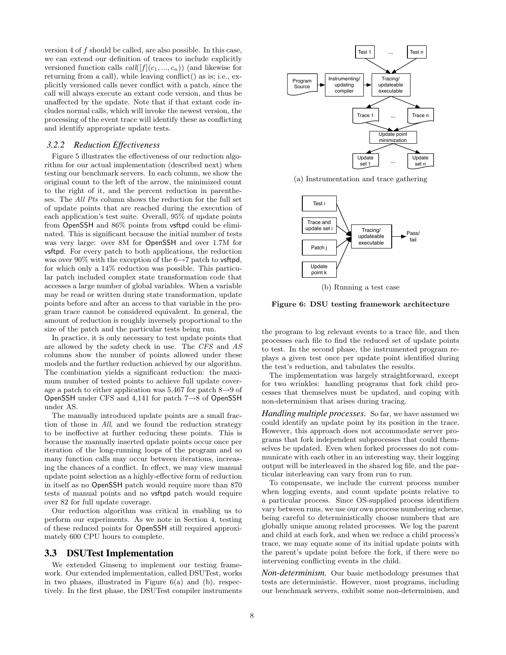version 4 of f should be called, are also possible. In this case, we can extend our definition of traces to include explicitly versioned function calls  $call([f](c_1, ..., c_n))$  (and likewise for returning from a call), while leaving conflict() as is; i.e., explicitly versioned calls never conflict with a patch, since the call will always execute an extant code version, and thus be unaffected by the update. Note that if that extant code includes normal calls, which will invoke the newest version, the processing of the event trace will identify these as conflicting and identify appropriate update tests.

#### *3.2.2 Reduction Effectiveness*

Figure 5 illustrates the effectiveness of our reduction algorithm for our actual implementation (described next) when testing our benchmark servers. In each column, we show the original count to the left of the arrow, the minimized count to the right of it, and the percent reduction in parentheses. The All Pts column shows the reduction for the full set of update points that are reached during the execution of each application's test suite. Overall, 95% of update points from OpenSSH and 86% points from vsftpd could be eliminated. This is significant because the initial number of tests was very large: over 8M for OpenSSH and over 1.7M for vsftpd. For every patch to both applications, the reduction was over 90% with the exception of the  $6\rightarrow 7$  patch to vsftpd, for which only a 14% reduction was possible. This particular patch included complex state transformation code that accesses a large number of global variables. When a variable may be read or written during state transformation, update points before and after an access to that variable in the program trace cannot be considered equivalent. In general, the amount of reduction is roughly inversely proportional to the size of the patch and the particular tests being run.

In practice, it is only necessary to test update points that are allowed by the safety check in use. The CFS and AS columns show the number of points allowed under these models and the further reduction achieved by our algorithm. The combination yields a significant reduction: the maximum number of tested points to achieve full update coverage a patch to either application was 5,467 for patch  $8\rightarrow 9$  of OpenSSH under CFS and 4,141 for patch 7→8 of OpenSSH under AS.

The manually introduced update points are a small fraction of those in All, and we found the reduction strategy to be ineffective at further reducing these points. This is because the manually inserted update points occur once per iteration of the long-running loops of the program and so many function calls may occur between iterations, increasing the chances of a conflict. In effect, we may view manual update point selection as a highly-effective form of reduction in itself as no OpenSSH patch would require more than 870 tests of manual points and no vsftpd patch would require over 82 for full update coverage.

Our reduction algorithm was critical in enabling us to perform our experiments. As we note in Section 4, testing of these reduced points for OpenSSH still required approximately 600 CPU hours to complete.

#### 3.3 DSUTest Implementation

We extended Ginseng to implement our testing framework. Our extended implementation, called DSUTest, works in two phases, illustrated in Figure  $6(a)$  and  $(b)$ , respectively. In the first phase, the DSUTest compiler instruments



(a) Instrumentation and trace gathering



(b) Running a test case

Figure 6: DSU testing framework architecture

the program to log relevant events to a trace file, and then processes each file to find the reduced set of update points to test. In the second phase, the instrumented program replays a given test once per update point identified during the test's reduction, and tabulates the results.

The implementation was largely straightforward, except for two wrinkles: handling programs that fork child processes that themselves must be updated, and coping with non-determinism that arises during tracing.

*Handling multiple processes.* So far, we have assumed we could identify an update point by its position in the trace. However, this approach does not accommodate server programs that fork independent subprocesses that could themselves be updated. Even when forked processes do not communicate with each other in an interesting way, their logging output will be interleaved in the shared log file, and the particular interleaving can vary from run to run.

To compensate, we include the current process number when logging events, and count update points relative to a particular process. Since OS-supplied process identifiers vary between runs, we use our own process numbering scheme, being careful to deterministically choose numbers that are globally unique among related processes. We log the parent and child at each fork, and when we reduce a child process's trace, we may equate some of its initial update points with the parent's update point before the fork, if there were no intervening conflicting events in the child.

*Non-determinism.* Our basic methodology presumes that tests are deterministic. However, most programs, including our benchmark servers, exhibit some non-determinism, and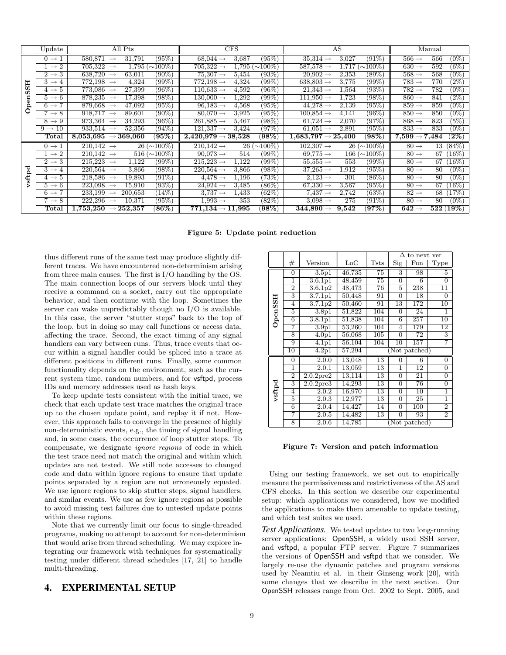|       | Update                          | All Pts                                                | <b>CFS</b>                                        | AS                                               | Manual                               |
|-------|---------------------------------|--------------------------------------------------------|---------------------------------------------------|--------------------------------------------------|--------------------------------------|
|       | $0 \rightarrow 1$               | (95%)<br>580,871<br>31,791                             | $(95\%)$<br>$68,044 \rightarrow$<br>3,687         | (91%)<br>$35,314 \rightarrow$<br>3,027           | $(0\%)$<br>$566 \rightarrow$<br>566  |
|       | $1 \rightarrow 2$               | 705,322<br>$1,795 \ (\sim 100\%)$<br>$\longrightarrow$ | $705,322 \rightarrow$<br>$1.795\ (\sim\!\!100\%)$ | $587,578 \rightarrow$<br>( $\sim$ 100%)<br>1,717 | $(6\%)$<br>592<br>$630 \rightarrow$  |
|       | $2 \rightarrow 3$               | 638,720<br>63,011<br>$(90\%)$<br>$\longrightarrow$     | (93%)<br>$75,307 \rightarrow$<br>5,454            | $20.902 \rightarrow$<br>2,353<br>$(89\%)$        | $568 \rightarrow$<br>568<br>$(0\%)$  |
| HS    | $3 \rightarrow 4$               | (99%)<br>$772,198 \rightarrow$<br>4,324                | $772,198 \rightarrow$<br>4,324<br>$(99\%)$        | $(99\%)$<br>$638,803 \rightarrow$<br>3,775       | $783 \rightarrow$<br>770<br>$(2\%)$  |
|       | $4 \rightarrow 5$               | $(96\%)$<br>773,086<br>27,399<br>$\longrightarrow$     | $(96\%)$<br>$110,633 \rightarrow$<br>4,592        | $(93\%)$<br>$21.343 \rightarrow$<br>1,564        | $782 \rightarrow$<br>782<br>$(0\%)$  |
| enS   | $5 \rightarrow 6$               | (98%)<br>878,235<br>17,398<br>$\longrightarrow$        | $(99\%)$<br>$130,000 \rightarrow$<br>1,292        | (98%)<br>$111.950 \rightarrow$<br>1,723          | $(2\%)$<br>$860 \rightarrow$<br>841  |
| ≏     | $6 \rightarrow 7$               | $(95\%)$<br>879,668<br>47,092<br>$\longrightarrow$     | $(95\%)$<br>$96,183 \rightarrow$<br>4,568         | $44.278 \rightarrow$<br>$(95\%)$<br>2,139        | $(0\%)$<br>$859 \rightarrow$<br>859  |
| 0     | $\rightarrow 8$                 | 918.717<br>$(90\%)$<br>89,601<br>$\longrightarrow$     | $(95\%)$<br>$80,070 \rightarrow$<br>3,925         | (96%)<br>$100,854 \rightarrow$<br>4,141          | $(0\%)$<br>$850 \rightarrow$<br>850  |
|       | $8 \rightarrow 9$               | $(96\%)$<br>973,364<br>34,293<br>$\longrightarrow$     | $(98\%)$<br>$261,885 \rightarrow$<br>5,467        | (97%)<br>$61,724 \rightarrow$<br>2,070           | $(5\%)$<br>$868 \rightarrow$<br>823  |
|       | $9 \rightarrow 10$              | $933.514 \rightarrow$<br>52,356<br>$(94\%)$            | (97%)<br>$121,337 \rightarrow$<br>3,424           | $(95\%)$<br>$61.051 \rightarrow$<br>2,891        | $(0\%)$<br>$833 \rightarrow$<br>833  |
|       | $_{\rm Total}$                  | $(95\%)$<br>8,053,695<br>$\rightarrow$ 369,060         | $ 98\% \rangle$<br>$2,420,979 \rightarrow 38,528$ | (98%)<br>$1,\!683,\!797\rightarrow25,\!400$      | $(2\%)$<br>$7,599 \rightarrow 7,484$ |
|       | $0 \rightarrow 1$               | $26 \ (\sim 100\%)$<br>$210,142 \rightarrow$           | $26 \ (\sim 100\%)$<br>$210,142 \rightarrow$      | $26 \ (\sim 100\%)$<br>$102,307 \rightarrow$     | $80 \rightarrow$<br>13 (84\%)        |
|       | $1 \rightarrow 2$               | $516 (\sim 100\%)$<br>$210,142 \rightarrow$            | (99%)<br>$90,073 \rightarrow$<br>514              | ( $\sim$ 100%)<br>$69,775 \rightarrow$<br>166 (  | $80 \rightarrow$<br>67<br>$(16\%)$   |
|       | $2 \rightarrow 3$               | $(99\%)$<br>215,223<br>1,122<br>$\longrightarrow$      | $(99\%)$<br>$215,223 \rightarrow$<br>1,122        | (99%)<br>$55.555 \rightarrow$<br>553             | $80 \rightarrow$<br>$(16\%)$<br>67   |
| ರ     | $3 \rightarrow 4$               | $220,564 \rightarrow$<br>3,866<br>$(98\%)$             | $220,564 \rightarrow$<br>$(98\%)$<br>3,866        | $(95\%)$<br>$37,265 \rightarrow$<br>1,912        | 80<br>$(0\%)$<br>$80 \rightarrow$    |
| vsftp | $4 \rightarrow 5$               | $(91\%)$<br>218,586<br>19,893<br>$\longrightarrow$     | $73\%$<br>$4,478 \rightarrow$<br>1,196            | $(86\%)$<br>$2,123 \rightarrow$<br>301           | $(0\%)$<br>$80 \rightarrow$<br>80    |
|       | $5 \rightarrow 6$               | $(93\%)$<br>15,910<br>223,098<br>$\longrightarrow$     | $(86\%)$<br>$24.924 \rightarrow$<br>3,485         | (95%)<br>$67,330 \rightarrow$<br>3,567           | $(16\%)$<br>$80 \rightarrow$<br>67   |
|       | $6 \rightarrow 7$               | $(14\%)$<br>233.199<br>200,653<br>$\longrightarrow$    | $(62\%)$<br>$3.737 \rightarrow$<br>1,433          | (63%)<br>$7.437 \rightarrow$<br>2,742            | $82 \rightarrow$<br>68<br>17\%)      |
|       | $7 \rightarrow 8$               | $(95\%)$<br>222,296<br>10,371<br>$\longrightarrow$     | $(82\%)$<br>$1.993 \rightarrow$<br>353            | $(91\%)$<br>$3,098 \rightarrow$<br>275           | $(0\%)$<br>$80 \rightarrow$<br>80    |
|       | $\operatorname{\mathsf{Total}}$ | (86%)<br>1,753,250<br>$\rightarrow$ 252,357            | $(98\%)$<br>$771,\!134\rightarrow11,\!995$        | (97%)<br>$344.890 \rightarrow$<br>9.542          | 522(19%)<br>$642 \rightarrow$        |

Figure 5: Update point reduction

thus different runs of the same test may produce slightly different traces. We have encountered non-determinism arising from three main causes. The first is I/O handling by the OS. The main connection loops of our servers block until they receive a command on a socket, carry out the appropriate behavior, and then continue with the loop. Sometimes the server can wake unpredictably though no I/O is available. In this case, the server "stutter steps" back to the top of the loop, but in doing so may call functions or access data, affecting the trace. Second, the exact timing of any signal handlers can vary between runs. Thus, trace events that occur within a signal handler could be spliced into a trace at different positions in different runs. Finally, some common functionality depends on the environment, such as the current system time, random numbers, and for vsftpd, process IDs and memory addresses used as hash keys.

To keep update tests consistent with the initial trace, we check that each update test trace matches the original trace up to the chosen update point, and replay it if not. However, this approach fails to converge in the presence of highly non-deterministic events, e.g., the timing of signal handling and, in some cases, the occurrence of loop stutter steps. To compensate, we designate ignore regions of code in which the test trace need not match the original and within which updates are not tested. We still note accesses to changed code and data within ignore regions to ensure that update points separated by a region are not erroneously equated. We use ignore regions to skip stutter steps, signal handlers, and similar events. We use as few ignore regions as possible to avoid missing test failures due to untested update points within these regions.

Note that we currently limit our focus to single-threaded programs, making no attempt to account for non-determinism that would arise from thread scheduling. We may explore integrating our framework with techniques for systematically testing under different thread schedules [17, 21] to handle multi-threading.

## 4. EXPERIMENTAL SETUP

|         |                |                       |              |                 | Л                         | to next ver     |                 |
|---------|----------------|-----------------------|--------------|-----------------|---------------------------|-----------------|-----------------|
|         | $^{\#}$        | Version               | $_{\rm LoC}$ | <b>Tsts</b>     | $\overline{\mathrm{Sig}}$ | Fun             | Type            |
|         | $\Omega$       | 3.5p1                 | 46,735       | 75              | 3                         | 98              | 5               |
|         | 1              | 3.6.1p1               | 48,459       | $\overline{75}$ | $\overline{0}$            | 6               | 0               |
|         | $\overline{2}$ | 3.6.1 <sub>p2</sub>   | 48,473       | 76              | 5                         | 238             | 11              |
|         | 3              | 3.7.1p1               | 50,448       | 91              | $\overline{0}$            | 18              | $\overline{0}$  |
|         | 4              | 3.7.1p2               | 50,460       | 91              | 13                        | 172             | 10              |
|         | 5              | 3.8 <sub>p1</sub>     | 51,822       | 104             | $\Omega$                  | 24              | 1               |
| OpenSSH | $\overline{6}$ | 3.8.1p1               | 51,838       | 104             | $\overline{6}$            | 257             | $\overline{10}$ |
|         | 7              | $\overline{3.9}$ p1   | 53,260       | 104             | 4                         | 179             | $\overline{12}$ |
|         | 8              | $\overline{4.0}$ p1   | 56,068       | 105             | 0                         | 72              | 3               |
|         | 9              | $\overline{4}.1p1$    | 56,104       | 104             | 10                        | 157             | 7               |
|         | T0             | 4.2p1                 | 57,294       |                 |                           | Not patched)    |                 |
|         | $\overline{0}$ | 2.0.0                 | 13,048       | 13              | 0                         | 6               | 0               |
|         | 1              | 2.0.1                 | 13,059       | 13              | 1                         | $\overline{12}$ | $\overline{0}$  |
|         | $\overline{2}$ | 2.0.2 <sub>pre2</sub> | 13,114       | 13              | 0                         | 21              | 0               |
| vsftpd  | 3              | $2.0.2$ pre3          | 14,293       | 13              | 0                         | 76              | 0               |
|         | 4              | 2.0.2                 | 16,970       | 13              | 0                         | 10              | 1               |
|         | 5              | 2.0.3                 | 12,977       | 13              | $\overline{0}$            | 25              | ī               |
|         | $\overline{6}$ | 2.0.4                 | 14,427       | 14              | 0                         | 100             | $\overline{2}$  |
|         | 7              | 2.0.5                 | 14,482       | 13              | $\Omega$                  | 93              | $\overline{2}$  |
|         | 8              | 2.0.6                 | 14,785       |                 |                           | Not patched)    |                 |

Figure 7: Version and patch information

Using our testing framework, we set out to empirically measure the permissiveness and restrictiveness of the AS and CFS checks. In this section we describe our experimental setup: which applications we considered, how we modified the applications to make them amenable to update testing, and which test suites we used.

*Test Applications.* We tested updates to two long-running server applications: OpenSSH, a widely used SSH server, and vsftpd, a popular FTP server. Figure 7 summarizes the versions of OpenSSH and vsftpd that we consider. We largely re-use the dynamic patches and program versions used by Neamtiu et al. in their Ginseng work [20], with some changes that we describe in the next section. Our OpenSSH releases range from Oct. 2002 to Sept. 2005, and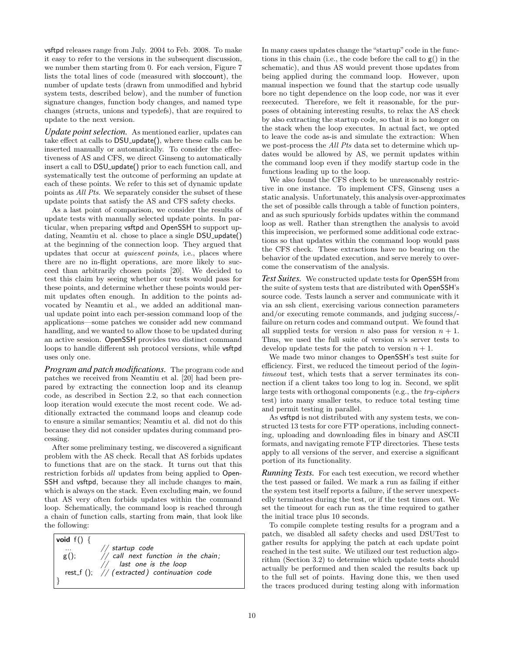vsftpd releases range from July. 2004 to Feb. 2008. To make it easy to refer to the versions in the subsequent discussion, we number them starting from 0. For each version, Figure 7 lists the total lines of code (measured with sloccount), the number of update tests (drawn from unmodified and hybrid system tests, described below), and the number of function signature changes, function body changes, and named type changes (structs, unions and typedefs), that are required to update to the next version.

*Update point selection.* As mentioned earlier, updates can take effect at calls to DSU<sub>-update</sub>(), where these calls can be inserted manually or automatically. To consider the effectiveness of AS and CFS, we direct Ginseng to automatically insert a call to DSU update() prior to each function call, and systematically test the outcome of performing an update at each of these points. We refer to this set of dynamic update points as All Pts. We separately consider the subset of these update points that satisfy the AS and CFS safety checks.

As a last point of comparison, we consider the results of update tests with manually selected update points. In particular, when preparing vsftpd and OpenSSH to support updating, Neamtiu et al. chose to place a single DSU\_update() at the beginning of the connection loop. They argued that updates that occur at quiescent points, i.e., places where there are no in-flight operations, are more likely to succeed than arbitrarily chosen points [20]. We decided to test this claim by seeing whether our tests would pass for these points, and determine whether these points would permit updates often enough. In addition to the points advocated by Neamtiu et al., we added an additional manual update point into each per-session command loop of the applications—some patches we consider add new command handling, and we wanted to allow those to be updated during an active session. OpenSSH provides two distinct command loops to handle different ssh protocol versions, while vsftpd uses only one.

*Program and patch modifications.* The program code and patches we received from Neamtiu et al. [20] had been prepared by extracting the connection loop and its cleanup code, as described in Section 2.2, so that each connection loop iteration would execute the most recent code. We additionally extracted the command loops and cleanup code to ensure a similar semantics; Neamtiu et al. did not do this because they did not consider updates during command processing.

After some preliminary testing, we discovered a significant problem with the AS check. Recall that AS forbids updates to functions that are on the stack. It turns out that this restriction forbids all updates from being applied to Open-SSH and vsftpd, because they all include changes to main, which is always on the stack. Even excluding main, we found that AS very often forbids updates within the command loop. Schematically, the command loop is reached through a chain of function calls, starting from main, that look like the following:

void f()  $\{$  $//$  startup code  $g()$ ;  $\frac{1}{2}$  call next function in the chain; // last one is the loop rest\_f ();  $\quad//$  (extracted) continuation code }

In many cases updates change the "startup" code in the functions in this chain (i.e., the code before the call to g() in the schematic), and thus AS would prevent those updates from being applied during the command loop. However, upon manual inspection we found that the startup code usually bore no tight dependence on the loop code, nor was it ever reexecuted. Therefore, we felt it reasonable, for the purposes of obtaining interesting results, to relax the AS check by also extracting the startup code, so that it is no longer on the stack when the loop executes. In actual fact, we opted to leave the code as-is and simulate the extraction: When we post-process the All Pts data set to determine which updates would be allowed by AS, we permit updates within the command loop even if they modify startup code in the functions leading up to the loop.

We also found the CFS check to be unreasonably restrictive in one instance. To implement CFS, Ginseng uses a static analysis. Unfortunately, this analysis over-approximates the set of possible calls through a table of function pointers, and as such spuriously forbids updates within the command loop as well. Rather than strengthen the analysis to avoid this imprecision, we performed some additional code extractions so that updates within the command loop would pass the CFS check. These extractions have no bearing on the behavior of the updated execution, and serve merely to overcome the conservatism of the analysis.

*Test Suites.* We constructed update tests for OpenSSH from the suite of system tests that are distributed with OpenSSH's source code. Tests launch a server and communicate with it via an ssh client, exercising various connection parameters and/or executing remote commands, and judging success/ failure on return codes and command output. We found that all supplied tests for version n also pass for version  $n + 1$ . Thus, we used the full suite of version  $n$ 's server tests to develop update tests for the patch to version  $n + 1$ .

We made two minor changes to OpenSSH's test suite for efficiency. First, we reduced the timeout period of the logintimeout test, which tests that a server terminates its connection if a client takes too long to log in. Second, we split large tests with orthogonal components (e.g., the try-ciphers test) into many smaller tests, to reduce total testing time and permit testing in parallel.

As vsftpd is not distributed with any system tests, we constructed 13 tests for core FTP operations, including connecting, uploading and downloading files in binary and ASCII formats, and navigating remote FTP directories. These tests apply to all versions of the server, and exercise a significant portion of its functionality.

*Running Tests.* For each test execution, we record whether the test passed or failed. We mark a run as failing if either the system test itself reports a failure, if the server unexpectedly terminates during the test, or if the test times out. We set the timeout for each run as the time required to gather the initial trace plus 10 seconds.

To compile complete testing results for a program and a patch, we disabled all safety checks and used DSUTest to gather results for applying the patch at each update point reached in the test suite. We utilized our test reduction algorithm (Section 3.2) to determine which update tests should actually be performed and then scaled the results back up to the full set of points. Having done this, we then used the traces produced during testing along with information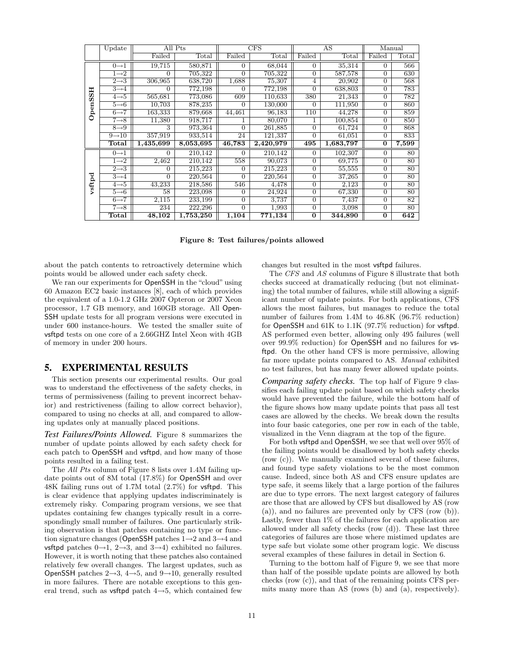|                  | Update             | All Pts   |           |                | CFS            |                | AS        | Manual         |                  |
|------------------|--------------------|-----------|-----------|----------------|----------------|----------------|-----------|----------------|------------------|
|                  |                    | Failed    | Total     | Failed         | $_{\rm Total}$ | Failed         | Total     | Failed         | $_{\rm Total}$   |
|                  | $0 \rightarrow 1$  | 19,715    | 580,871   | $\Omega$       | 68,044         | $\Omega$       | 35,314    | $\Omega$       | 566              |
|                  | $1\rightarrow 2$   | $\Omega$  | 705,322   | $\Omega$       | 705,322        | $\Omega$       | 587,578   | $\Omega$       | 630              |
|                  | $2 \rightarrow 3$  | 306,965   | 638,720   | 1,688          | 75,307         | 4              | 20,902    | $\Omega$       | 568              |
| H                | $3\rightarrow 4$   | 0         | 772,198   | $\Omega$       | 772,198        | $\Omega$       | 638,803   | $\Omega$       | $\overline{783}$ |
| m                | $4\rightarrow 5$   | 565,681   | 773,086   | 609            | 110,633        | 380            | 21,343    | $\Omega$       | 782              |
| pen <sub>S</sub> | $5 \rightarrow 6$  | 10,703    | 878,235   | $\Omega$       | 130,000        | $\Omega$       | 111,950   | $\Omega$       | 860              |
|                  | $6 \rightarrow 7$  | 163,333   | 879,668   | 44,461         | 96,183         | 110            | 44,278    | $\Omega$       | 859              |
| 0                | $7 \rightarrow 8$  | 11,380    | 918,717   |                | 80,070         |                | 100,854   | $\Omega$       | 850              |
|                  | $8 \rightarrow 9$  | 3         | 973,364   | $\Omega$       | 261,885        | $\Omega$       | 61,724    | $\Omega$       | 868              |
|                  | $9 \rightarrow 10$ | 357,919   | 933,514   | 24             | 121,337        | $\Omega$       | 61,051    | $\Omega$       | 833              |
|                  | <b>Total</b>       | 1,435,699 | 8,053,695 | 46,783         | 2,420,979      | 495            | 1,683,797 | 0              | 7,599            |
|                  | $0 \rightarrow 1$  | $\Omega$  | 210,142   | $\Omega$       | 210,142        | $\Omega$       | 102,307   | $\Omega$       | 80               |
|                  | $1\rightarrow 2$   | 2,462     | 210,142   | 558            | 90,073         | 0              | 69,775    | $\Omega$       | 80               |
|                  | $2 \rightarrow 3$  | $\Omega$  | 215,223   | $\Omega$       | 215,223        | $\Omega$       | 55,555    | $\Omega$       | 80               |
| vsftpd           | $3\rightarrow 4$   | $\Omega$  | 220,564   | $\Omega$       | 220,564        | $\Omega$       | 37,265    | $\Omega$       | 80               |
|                  | $4\rightarrow 5$   | 43,233    | 218,586   | 546            | 4,478          | $\Omega$       | 2,123     | $\Omega$       | 80               |
|                  | $5 \rightarrow 6$  | 58        | 223,098   | $\overline{0}$ | 24,924         | $\overline{0}$ | 67,330    | $\overline{0}$ | 80               |
|                  | $6 \rightarrow 7$  | 2,115     | 233,199   | $\Omega$       | 3,737          | $\overline{0}$ | 7,437     | $\Omega$       | $\overline{82}$  |
|                  | $7 \rightarrow 8$  | 234       | 222,296   | $\Omega$       | 1,993          | $\Omega$       | 3,098     | $\Omega$       | 80               |
|                  | Total              | 48,102    | 1,753,250 | 1,104          | 771,134        | $\Omega$       | 344,890   | $\Omega$       | 642              |

Figure 8: Test failures/points allowed

about the patch contents to retroactively determine which points would be allowed under each safety check.

We ran our experiments for OpenSSH in the "cloud" using 60 Amazon EC2 basic instances [8], each of which provides the equivalent of a 1.0-1.2 GHz 2007 Opteron or 2007 Xeon processor, 1.7 GB memory, and 160GB storage. All Open-SSH update tests for all program versions were executed in under 600 instance-hours. We tested the smaller suite of vsftpd tests on one core of a 2.66GHZ Intel Xeon with 4GB of memory in under 200 hours.

## 5. EXPERIMENTAL RESULTS

This section presents our experimental results. Our goal was to understand the effectiveness of the safety checks, in terms of permissiveness (failing to prevent incorrect behavior) and restrictiveness (failing to allow correct behavior), compared to using no checks at all, and compared to allowing updates only at manually placed positions.

*Test Failures/Points Allowed.* Figure 8 summarizes the number of update points allowed by each safety check for each patch to OpenSSH and vsftpd, and how many of those points resulted in a failing test.

The All Pts column of Figure 8 lists over 1.4M failing update points out of 8M total (17.8%) for OpenSSH and over 48K failing runs out of 1.7M total (2.7%) for vsftpd. This is clear evidence that applying updates indiscriminately is extremely risky. Comparing program versions, we see that updates containing few changes typically result in a correspondingly small number of failures. One particularly striking observation is that patches containing no type or function signature changes (OpenSSH patches 1→2 and 3→4 and vsftpd patches  $0\rightarrow 1$ ,  $2\rightarrow 3$ , and  $3\rightarrow 4$ ) exhibited no failures. However, it is worth noting that these patches also contained relatively few overall changes. The largest updates, such as OpenSSH patches  $2\rightarrow 3$ ,  $4\rightarrow 5$ , and  $9\rightarrow 10$ , generally resulted in more failures. There are notable exceptions to this general trend, such as vsftpd patch  $4 \rightarrow 5$ , which contained few changes but resulted in the most vsftpd failures.

The CFS and AS columns of Figure 8 illustrate that both checks succeed at dramatically reducing (but not eliminating) the total number of failures, while still allowing a significant number of update points. For both applications, CFS allows the most failures, but manages to reduce the total number of failures from 1.4M to 46.8K (96.7% reduction) for OpenSSH and 61K to 1.1K (97.7% reduction) for vsftpd. AS performed even better, allowing only 495 failures (well over 99.9% reduction) for OpenSSH and no failures for vsftpd. On the other hand CFS is more permissive, allowing far more update points compared to AS. Manual exhibited no test failures, but has many fewer allowed update points.

*Comparing safety checks.* The top half of Figure 9 classifies each failing update point based on which safety checks would have prevented the failure, while the bottom half of the figure shows how many update points that pass all test cases are allowed by the checks. We break down the results into four basic categories, one per row in each of the table, visualized in the Venn diagram at the top of the figure.

For both vsftpd and OpenSSH, we see that well over 95% of the failing points would be disallowed by both safety checks (row (c)). We manually examined several of these failures, and found type safety violations to be the most common cause. Indeed, since both AS and CFS ensure updates are type safe, it seems likely that a large portion of the failures are due to type errors. The next largest category of failures are those that are allowed by CFS but disallowed by AS (row (a)), and no failures are prevented only by CFS (row (b)). Lastly, fewer than 1% of the failures for each application are allowed under all safety checks (row (d)). These last three categories of failures are those where mistimed updates are type safe but violate some other program logic. We discuss several examples of these failures in detail in Section 6.

Turning to the bottom half of Figure 9, we see that more than half of the possible update points are allowed by both checks (row (c)), and that of the remaining points CFS permits many more than AS (rows (b) and (a), respectively).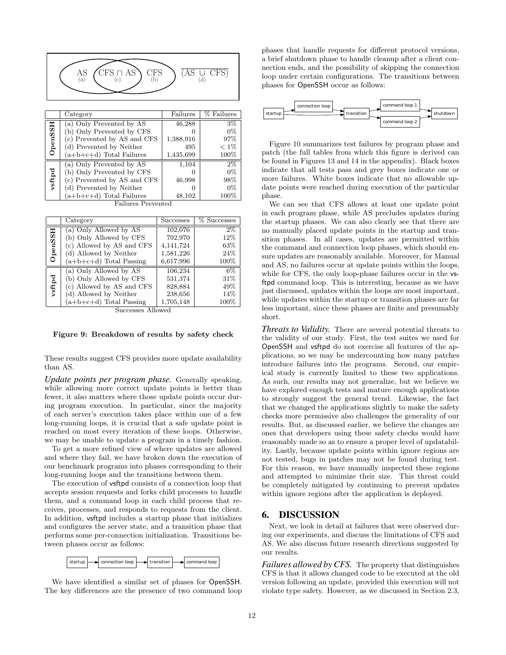| $CFS \cap AS$<br>$(AS \cup \text{CFS})$<br>CFS<br>AS<br>(a)<br>D<br>α |
|-----------------------------------------------------------------------|
|-----------------------------------------------------------------------|

|                | Category                    | Failures  | % Failures |
|----------------|-----------------------------|-----------|------------|
|                | (a) Only Prevented by AS    | 46,288    | $3\%$      |
| <b>OpenSSH</b> | (b) Only Prevented by CFS   |           | $0\%$      |
|                | (c) Prevented by AS and CFS | 1,388,916 | 97%        |
|                | (d) Prevented by Neither    | 495       | $< 1\%$    |
|                | $(a+b+c+d)$ Total Failures  | 1,435,699 | 100%       |
|                | (a) Only Prevented by AS    | 1,104     | $2\%$      |
| vsftpd         | (b) Only Prevented by CFS   |           | $0\%$      |
|                | (c) Prevented by AS and CFS | 46,998    | 98%        |
|                | (d) Prevented by Neither    |           | $0\%$      |
|                | $(a+b+c+d)$ Total Failures  | 48,102    | 100%       |
|                | <b>Failures Prevented</b>   |           |            |

|                | Category                  | <b>Successes</b> | % Successes |
|----------------|---------------------------|------------------|-------------|
| <b>OpenSSH</b> | (a) Only Allowed by AS    | 102,076          | $2\%$       |
|                | (b) Only Allowed by CFS   | 792,970          | 12%         |
|                | (c) Allowed by AS and CFS | 4,141,724        | 63%         |
|                | (d) Allowed by Neither    | 1,581,226        | 24%         |
|                | $(a+b+c+d)$ Total Passing | 6,617,996        | 100%        |
| vsftpd         | (a) Only Allowed by AS    | 106,234          | 6%          |
|                | (b) Only Allowed by CFS   | 531,374          | 31\%        |
|                | (c) Allowed by AS and CFS | 828,884          | 49%         |
|                | (d) Allowed by Neither    | 238,656          | 14%         |
|                | $(a+b+c+d)$ Total Passing | 1,705,148        | $100\%$     |

Successes Allowed

#### Figure 9: Breakdown of results by safety check

These results suggest CFS provides more update availability than AS.

*Update points per program phase.* Generally speaking, while allowing more correct update points is better than fewer, it also matters where those update points occur during program execution. In particular, since the majority of each server's execution takes place within one of a few long-running loops, it is crucial that a safe update point is reached on most every iteration of these loops. Otherwise, we may be unable to update a program in a timely fashion.

To get a more refined view of where updates are allowed and where they fail, we have broken down the execution of our benchmark programs into phases corresponding to their long-running loops and the transitions between them.

The execution of vsftpd consists of a connection loop that accepts session requests and forks child processes to handle them, and a command loop in each child process that receives, processes, and responds to requests from the client. In addition, vsftpd includes a startup phase that initializes and configures the server state, and a transition phase that performs some per-connection initialization. Transitions between phases occur as follows:



We have identified a similar set of phases for OpenSSH. The key differences are the presence of two command loop phases that handle requests for different protocol versions, a brief shutdown phase to handle cleanup after a client connection ends, and the possibility of skipping the connection loop under certain configurations. The transitions between phases for OpenSSH occur as follows:



Figure 10 summarizes test failures by program phase and patch (the full tables from which this figure is derived can be found in Figures 13 and 14 in the appendix). Black boxes indicate that all tests pass and grey boxes indicate one or more failures. White boxes indicate that no allowable update points were reached during execution of the particular phase.

We can see that CFS allows at least one update point in each program phase, while AS precludes updates during the startup phases. We can also clearly see that there are no manually placed update points in the startup and transition phases. In all cases, updates are permitted within the command and connection loop phases, which should ensure updates are reasonably available. Moreover, for Manual and AS, no failures occur at update points within the loops, while for CFS, the only loop-phase failures occur in the vsftpd command loop. This is interesting, because as we have just discussed, updates within the loops are most important, while updates within the startup or transition phases are far less important, since these phases are finite and presumably short.

*Threats to Validity.* There are several potential threats to the validity of our study. First, the test suites we used for OpenSSH and vsftpd do not exercise all features of the applications, so we may be undercounting how many patches introduce failures into the programs. Second, our empirical study is currently limited to these two applications. As such, our results may not generalize, but we believe we have explored enough tests and mature enough applications to strongly suggest the general trend. Likewise, the fact that we changed the applications slightly to make the safety checks more permissive also challenges the generality of our results. But, as discussed earlier, we believe the changes are ones that developers using these safety checks would have reasonably made so as to ensure a proper level of updatability. Lastly, because update points within ignore regions are not tested, bugs in patches may not be found during test. For this reason, we have manually inspected these regions and attempted to minimize their size. This threat could be completely mitigated by continuing to prevent updates within ignore regions after the application is deployed.

#### 6. DISCUSSION

Next, we look in detail at failures that were observed during our experiments, and discuss the limitations of CFS and AS. We also discuss future research directions suggested by our results.

*Failures allowed by CFS.* The property that distinguishes CFS is that it allows changed code to be executed at the old version following an update, provided this execution will not violate type safety. However, as we discussed in Section 2.3,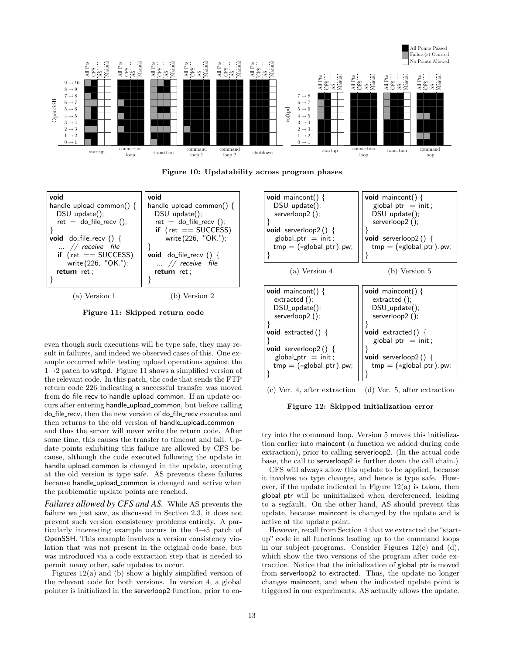





Figure 11: Skipped return code

even though such executions will be type safe, they may result in failures, and indeed we observed cases of this. One example occurred while testing upload operations against the  $1\rightarrow 2$  patch to **vsftpd**. Figure 11 shows a simplified version of the relevant code. In this patch, the code that sends the FTP return code 226 indicating a successful transfer was moved from do\_file\_recv to handle\_upload\_common. If an update occurs after entering handle upload common, but before calling do\_file\_recv, then the new version of do\_file\_recv executes and then returns to the old version of handle\_upload\_commonand thus the server will never write the return code. After some time, this causes the transfer to timeout and fail. Update points exhibiting this failure are allowed by CFS because, although the code executed following the update in handle\_upload\_common is changed in the update, executing at the old version is type safe. AS prevents these failures because handle upload common is changed and active when the problematic update points are reached.

*Failures allowed by CFS and AS.* While AS prevents the failure we just saw, as discussed in Section 2.3, it does not prevent such version consistency problems entirely. A particularly interesting example occurs in the 4→5 patch of OpenSSH. This example involves a version consistency violation that was not present in the original code base, but was introduced via a code extraction step that is needed to permit many other, safe updates to occur.

Figures 12(a) and (b) show a highly simplified version of the relevant code for both versions. In version 4, a global pointer is initialized in the serverloop2 function, prior to en-



Figure 12: Skipped initialization error

try into the command loop. Version 5 moves this initialization earlier into maincont (a function we added during code extraction), prior to calling serverloop2. (In the actual code base, the call to serverloop2 is further down the call chain.)

CFS will always allow this update to be applied, because it involves no type changes, and hence is type safe. However, if the update indicated in Figure 12(a) is taken, then global ptr will be uninitialized when dereferenced, leading to a segfault. On the other hand, AS should prevent this update, because maincont is changed by the update and is active at the update point.

However, recall from Section 4 that we extracted the "startup" code in all functions leading up to the command loops in our subject programs. Consider Figures 12(c) and (d), which show the two versions of the program after code extraction. Notice that the initialization of global ptr is moved from serverloop2 to extracted. Thus, the update no longer changes maincont, and when the indicated update point is triggered in our experiments, AS actually allows the update.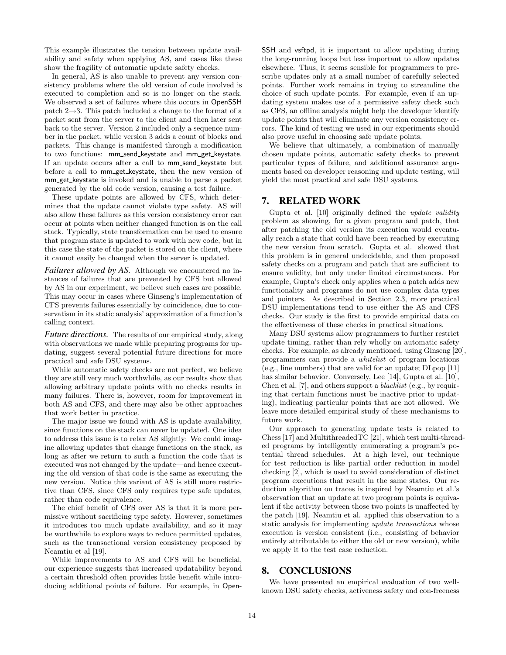This example illustrates the tension between update availability and safety when applying AS, and cases like these show the fragility of automatic update safety checks.

In general, AS is also unable to prevent any version consistency problems where the old version of code involved is executed to completion and so is no longer on the stack. We observed a set of failures where this occurs in OpenSSH patch  $2\rightarrow 3$ . This patch included a change to the format of a packet sent from the server to the client and then later sent back to the server. Version 2 included only a sequence number in the packet, while version 3 adds a count of blocks and packets. This change is manifested through a modification to two functions: mm\_send\_keystate and mm\_get\_keystate. If an update occurs after a call to mm\_send\_keystate but before a call to mm\_get\_keystate, then the new version of mm get keystate is invoked and is unable to parse a packet generated by the old code version, causing a test failure.

These update points are allowed by CFS, which determines that the update cannot violate type safety. AS will also allow these failures as this version consistency error can occur at points when neither changed function is on the call stack. Typically, state transformation can be used to ensure that program state is updated to work with new code, but in this case the state of the packet is stored on the client, where it cannot easily be changed when the server is updated.

*Failures allowed by AS.* Although we encountered no instances of failures that are prevented by CFS but allowed by AS in our experiment, we believe such cases are possible. This may occur in cases where Ginseng's implementation of CFS prevents failures essentially by coincidence, due to conservatism in its static analysis' approximation of a function's calling context.

*Future directions.* The results of our empirical study, along with observations we made while preparing programs for updating, suggest several potential future directions for more practical and safe DSU systems.

While automatic safety checks are not perfect, we believe they are still very much worthwhile, as our results show that allowing arbitrary update points with no checks results in many failures. There is, however, room for improvement in both AS and CFS, and there may also be other approaches that work better in practice.

The major issue we found with AS is update availability, since functions on the stack can never be updated. One idea to address this issue is to relax AS slightly: We could imagine allowing updates that change functions on the stack, as long as after we return to such a function the code that is executed was not changed by the update—and hence executing the old version of that code is the same as executing the new version. Notice this variant of AS is still more restrictive than CFS, since CFS only requires type safe updates, rather than code equivalence.

The chief benefit of CFS over AS is that it is more permissive without sacrificing type safety. However, sometimes it introduces too much update availability, and so it may be worthwhile to explore ways to reduce permitted updates, such as the transactional version consistency proposed by Neamtiu et al [19].

While improvements to AS and CFS will be beneficial, our experience suggests that increased updatability beyond a certain threshold often provides little benefit while introducing additional points of failure. For example, in OpenSSH and vsftpd, it is important to allow updating during the long-running loops but less important to allow updates elsewhere. Thus, it seems sensible for programmers to prescribe updates only at a small number of carefully selected points. Further work remains in trying to streamline the choice of such update points. For example, even if an updating system makes use of a permissive safety check such as CFS, an offline analysis might help the developer identify update points that will eliminate any version consistency errors. The kind of testing we used in our experiments should also prove useful in choosing safe update points.

We believe that ultimately, a combination of manually chosen update points, automatic safety checks to prevent particular types of failure, and additional assurance arguments based on developer reasoning and update testing, will yield the most practical and safe DSU systems.

#### 7. RELATED WORK

Gupta et al. [10] originally defined the update validity problem as showing, for a given program and patch, that after patching the old version its execution would eventually reach a state that could have been reached by executing the new version from scratch. Gupta et al. showed that this problem is in general undecidable, and then proposed safety checks on a program and patch that are sufficient to ensure validity, but only under limited circumstances. For example, Gupta's check only applies when a patch adds new functionality and programs do not use complex data types and pointers. As described in Section 2.3, more practical DSU implementations tend to use either the AS and CFS checks. Our study is the first to provide empirical data on the effectiveness of these checks in practical situations.

Many DSU systems allow programmers to further restrict update timing, rather than rely wholly on automatic safety checks. For example, as already mentioned, using Ginseng [20], programmers can provide a whitelist of program locations (e.g., line numbers) that are valid for an update; DLpop [11] has similar behavior. Conversely, Lee [14], Gupta et al. [10], Chen et al. [7], and others support a blacklist (e.g., by requiring that certain functions must be inactive prior to updating), indicating particular points that are not allowed. We leave more detailed empirical study of these mechanisms to future work.

Our approach to generating update tests is related to Chess [17] and MultithreadedTC [21], which test multi-threaded programs by intelligently enumerating a program's potential thread schedules. At a high level, our technique for test reduction is like partial order reduction in model checking [2], which is used to avoid consideration of distinct program executions that result in the same states. Our reduction algorithm on traces is inspired by Neamtiu et al.'s observation that an update at two program points is equivalent if the activity between those two points is unaffected by the patch [19]. Neamtiu et al. applied this observation to a static analysis for implementing update transactions whose execution is version consistent (i.e., consisting of behavior entirely attributable to either the old or new version), while we apply it to the test case reduction.

#### 8. CONCLUSIONS

We have presented an empirical evaluation of two wellknown DSU safety checks, activeness safety and con-freeness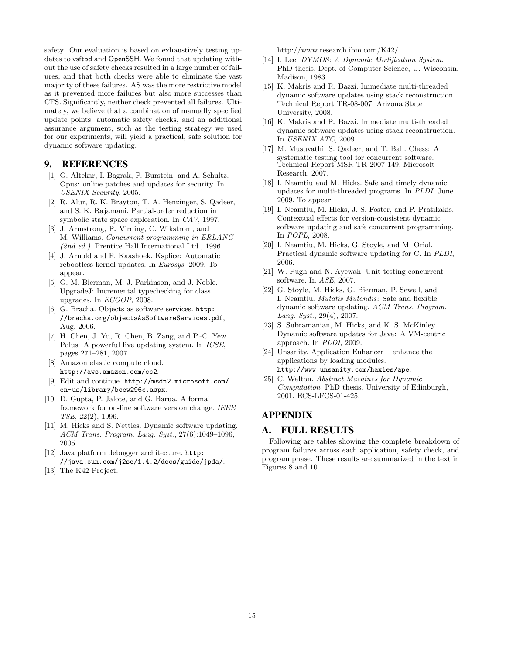safety. Our evaluation is based on exhaustively testing updates to vsftpd and OpenSSH. We found that updating without the use of safety checks resulted in a large number of failures, and that both checks were able to eliminate the vast majority of these failures. AS was the more restrictive model as it prevented more failures but also more successes than CFS. Significantly, neither check prevented all failures. Ultimately, we believe that a combination of manually specified update points, automatic safety checks, and an additional assurance argument, such as the testing strategy we used for our experiments, will yield a practical, safe solution for dynamic software updating.

## 9. REFERENCES

- [1] G. Altekar, I. Bagrak, P. Burstein, and A. Schultz. Opus: online patches and updates for security. In USENIX Security, 2005.
- [2] R. Alur, R. K. Brayton, T. A. Henzinger, S. Qadeer, and S. K. Rajamani. Partial-order reduction in symbolic state space exploration. In CAV, 1997.
- [3] J. Armstrong, R. Virding, C. Wikstrom, and M. Williams. Concurrent programming in ERLANG  $(2nd \ ed.)$ . Prentice Hall International Ltd., 1996.
- [4] J. Arnold and F. Kaashoek. Ksplice: Automatic rebootless kernel updates. In Eurosys, 2009. To appear.
- [5] G. M. Bierman, M. J. Parkinson, and J. Noble. UpgradeJ: Incremental typechecking for class upgrades. In ECOOP, 2008.
- [6] G. Bracha. Objects as software services. http: //bracha.org/objectsAsSoftwareServices.pdf, Aug. 2006.
- [7] H. Chen, J. Yu, R. Chen, B. Zang, and P.-C. Yew. Polus: A powerful live updating system. In ICSE, pages 271–281, 2007.
- [8] Amazon elastic compute cloud. http://aws.amazon.com/ec2.
- [9] Edit and continue. http://msdn2.microsoft.com/ en-us/library/bcew296c.aspx.
- [10] D. Gupta, P. Jalote, and G. Barua. A formal framework for on-line software version change. IEEE TSE, 22(2), 1996.
- [11] M. Hicks and S. Nettles. Dynamic software updating. ACM Trans. Program. Lang. Syst., 27(6):1049–1096, 2005.
- [12] Java platform debugger architecture. http: //java.sun.com/j2se/1.4.2/docs/guide/jpda/.
- [13] The K42 Project.

http://www.research.ibm.com/K42/.

- [14] I. Lee. DYMOS: A Dynamic Modification System. PhD thesis, Dept. of Computer Science, U. Wisconsin, Madison, 1983.
- [15] K. Makris and R. Bazzi. Immediate multi-threaded dynamic software updates using stack reconstruction. Technical Report TR-08-007, Arizona State University, 2008.
- [16] K. Makris and R. Bazzi. Immediate multi-threaded dynamic software updates using stack reconstruction. In USENIX ATC, 2009.
- [17] M. Musuvathi, S. Qadeer, and T. Ball. Chess: A systematic testing tool for concurrent software. Technical Report MSR-TR-2007-149, Microsoft Research, 2007.
- [18] I. Neamtiu and M. Hicks. Safe and timely dynamic updates for multi-threaded programs. In PLDI, June 2009. To appear.
- [19] I. Neamtiu, M. Hicks, J. S. Foster, and P. Pratikakis. Contextual effects for version-consistent dynamic software updating and safe concurrent programming. In POPL, 2008.
- [20] I. Neamtiu, M. Hicks, G. Stoyle, and M. Oriol. Practical dynamic software updating for C. In PLDI, 2006.
- [21] W. Pugh and N. Ayewah. Unit testing concurrent software. In ASE, 2007.
- [22] G. Stoyle, M. Hicks, G. Bierman, P. Sewell, and I. Neamtiu. Mutatis Mutandis: Safe and flexible dynamic software updating. ACM Trans. Program. Lang. Syst.,  $29(4)$ ,  $2007$ .
- [23] S. Subramanian, M. Hicks, and K. S. McKinley. Dynamic software updates for Java: A VM-centric approach. In PLDI, 2009.
- [24] Unsanity. Application Enhancer enhance the applications by loading modules. http://www.unsanity.com/haxies/ape.
- [25] C. Walton. Abstract Machines for Dynamic Computation. PhD thesis, University of Edinburgh, 2001. ECS-LFCS-01-425.

# APPENDIX

# A. FULL RESULTS

Following are tables showing the complete breakdown of program failures across each application, safety check, and program phase. These results are summarized in the text in Figures 8 and 10.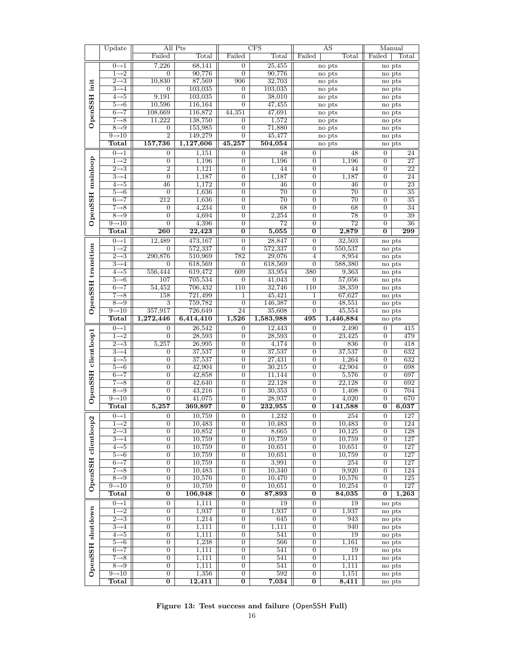|                    | Update                       |                                  | All Pts               |                                  | CFS             |                                    | AS                | Manual                  |        |
|--------------------|------------------------------|----------------------------------|-----------------------|----------------------------------|-----------------|------------------------------------|-------------------|-------------------------|--------|
|                    |                              | Failed                           | Total                 | Failed                           | Total           | Failed                             | $_{\text{Total}}$ | Failed                  | Total  |
|                    | $0 \rightarrow 1$            | 7,226                            | 68,141                | $\mathbf{0}$                     | 25,455          |                                    | no pts            | no pts                  |        |
|                    | $\overline{1\rightarrow 2}$  | $\overline{0}$                   | 90,776                | $\overline{0}$                   | 90,776          |                                    | no pts            | no pts                  |        |
|                    |                              |                                  |                       |                                  |                 |                                    |                   |                         |        |
| init               | $\overline{2\rightarrow}3$   | 10,830                           | 87,569                | 906                              | 32,703          |                                    | no pts            | no pts                  |        |
|                    | $3\rightarrow 4$             | $\overline{0}$                   | 103,035               | $\boldsymbol{0}$                 | 103,035         |                                    | no pts            | no pts                  |        |
| <b>OpenSSH</b>     | $4\neg 5$                    | 9,191                            | 103,035               | $\overline{0}$                   | 38,010          |                                    | no pts            | no pts                  |        |
|                    | $5 \rightarrow 6$            | 10,596                           | 116,164               | $\overline{0}$                   | 47,455          |                                    | no pts            | no pts                  |        |
|                    | $6 \rightarrow 7$            | 108,669                          | 116,872               | 44,351                           | 47,691          |                                    | no pts            |                         | no pts |
|                    | $7\rightarrow 8$             | 11,222                           | 138,750               | $\overline{0}$                   | 1,572           |                                    | no pts            | no pts                  |        |
|                    | $8 \rightarrow 9$            | $\overline{0}$                   | 153,985               | $\overline{0}$                   | 71,880          |                                    | no pts            | no pts                  |        |
|                    | $9 \rightarrow 10$           | $\overline{2}$                   | 149,279               | $\overline{0}$                   | 45,477          |                                    | no pts            | no pts                  |        |
|                    | <b>Total</b>                 | 157,736                          | 1,127,606             | 45,257                           | 504,054         |                                    | no pts            | no pts                  |        |
|                    |                              |                                  |                       |                                  |                 |                                    |                   |                         |        |
|                    | $0 \rightarrow 1$            | $\boldsymbol{0}$                 | 1,151                 | $\boldsymbol{0}$                 | 48              | $\mathbf{0}$                       | 48                | $\boldsymbol{0}$        | 24     |
|                    | $\overline{1\rightarrow 2}$  | $\boldsymbol{0}$                 | 1,196                 | 0                                | 1,196           | 0                                  | 1,196             | $\boldsymbol{0}$        | 27     |
|                    | $2 \rightarrow 3$            | $\overline{2}$                   | 1,121                 | $\overline{0}$                   | 44              | $\boldsymbol{0}$                   | 44                | $\overline{0}$          | 22     |
|                    | $3\rightarrow 4$             | $\overline{0}$                   | 1,187                 | $\boldsymbol{0}$                 | 1,187           | $\boldsymbol{0}$                   | 1,187             | $\boldsymbol{0}$        | 24     |
|                    | $4 \rightarrow 5$            | 46                               | 1,172                 | $\overline{0}$                   | 46              | $\overline{0}$                     | 46                | $\overline{0}$          | 23     |
|                    | $5 \rightarrow 6$            | $\overline{0}$                   | 1,636                 | $\overline{0}$                   | $\overline{70}$ | $\overline{0}$                     | $\overline{70}$   | $\overline{0}$          | 35     |
|                    | $6 \rightarrow 7$            | 212                              | 1,636                 | $\overline{0}$                   | 70              | $\boldsymbol{0}$                   | 70                | $\overline{0}$          | 35     |
|                    | $7 \rightarrow 8$            | $\overline{0}$                   | 4,234                 | $\overline{0}$                   | 68              | $\overline{0}$                     | 68                | $\overline{0}$          | 34     |
|                    | $8 \rightarrow 9$            | $\overline{0}$                   | 4,694                 | 0                                | 2,254           | $\boldsymbol{0}$                   | $\overline{78}$   | $\boldsymbol{0}$        | 39     |
| OpenSSH mainloop   | $9 \rightarrow 10$           | $\overline{0}$                   | 4,396                 | $\overline{0}$                   | $\overline{72}$ | $\overline{0}$                     | $\overline{72}$   | $\overline{0}$          | 36     |
|                    |                              |                                  |                       |                                  | 5,055           |                                    |                   | $\overline{0}$          |        |
|                    | Total                        | $\overline{260}$                 | $\overline{22{,}423}$ | $\overline{0}$                   |                 | $\overline{0}$                     | 2,879             |                         | 299    |
|                    | $0\rightarrow 1$             | 12,489                           | 473,167               | $\boldsymbol{0}$                 | 28,847          | 0                                  | 32,503            | no pts                  |        |
|                    | $1\rightarrow 2$             | $\overline{0}$                   | 572,337               | $\overline{0}$                   | 572,337         | $\overline{0}$                     | 550,537           | no pts                  |        |
|                    | $2\rightarrow 3$             | 290,876                          | 510,969               | 782                              | 29,076          | 4                                  | 8,954             |                         | no pts |
|                    | $3\rightarrow 4$             | $\overline{0}$                   | 618,569               | $\boldsymbol{0}$                 | 618,569         | $\mathbf{0}$                       | 588,380           | no pts                  |        |
|                    | $4\neg 5$                    | 556,444                          | 619,472               | 609                              | 33,954          | 380                                | 9,363             | no pts                  |        |
|                    | $5 \rightarrow 6$            | 107                              | 705,534               | $\overline{0}$                   | 41,043          | $\boldsymbol{0}$                   | 57,056            | no pts                  |        |
| OpenSSH transition | $6 \rightarrow 7$            | 54,452                           | 706,432               | 110                              | 32,746          | 110                                | 38,359            | no pts                  |        |
|                    | $7\rightarrow 8$             | 158                              | 721,499               | 1                                |                 |                                    |                   |                         |        |
|                    |                              |                                  |                       |                                  | 45,421          | 1                                  | 67,627            | no pts                  |        |
|                    | $8 \rightarrow 9$            | $\overline{3}$                   | 759,782               | $\overline{0}$                   | 146,387         | $\overline{0}$                     | 48,551            | no pts                  |        |
|                    | $9 \rightarrow 10$           | 357,917                          | 726,649               | 24                               | 35,608          | $\overline{0}$                     | 45,554            |                         | no pts |
|                    |                              |                                  |                       |                                  |                 |                                    |                   |                         |        |
|                    | Total                        | 1,272,446                        | 6,414,410             | 1,526                            | 1,583,988       | 495                                | 1,446,884         | no pts                  |        |
|                    | $0\rightarrow 1$             | $\boldsymbol{0}$                 |                       | $\mathbf{0}$                     |                 | $\overline{0}$                     | 2,490             | $\boldsymbol{0}$        | 415    |
|                    | $1\rightarrow 2$             |                                  | 26,542                |                                  | 12,443          |                                    |                   |                         |        |
|                    |                              | $\overline{0}$                   | 28,593                | $\overline{0}$                   | 28,593          | $\boldsymbol{0}$                   | 23,425            | $\overline{0}$          | 479    |
|                    | $\overline{2\rightarrow}3$   | 5,257                            | 26,995                | $\overline{0}$                   | 4,174           | $\boldsymbol{0}$                   | 836               | $\boldsymbol{0}$        | 418    |
|                    | $3\rightarrow 4$             | $\boldsymbol{0}$                 | 37,537                | $\overline{0}$                   | 37,537          | $\overline{0}$                     | 37,537            | $\overline{0}$          | 632    |
|                    | $4\neg 5$                    | $\overline{0}$                   | 37,537                | 0                                | 27,431          | $\boldsymbol{0}$                   | 1,264             | $\boldsymbol{0}$        | 632    |
| clientloop1        | $5 \rightarrow 6$            | $\overline{0}$                   | 42,904                | $\overline{0}$                   | 30,215          | $\boldsymbol{0}$                   | 42,904            | $\overline{0}$          | 698    |
|                    | $6 \rightarrow 7$            | $\overline{0}$                   | 42,858                | $\overline{0}$                   | 11,144          | $\boldsymbol{0}$                   | 5,576             | $\boldsymbol{0}$        | 697    |
|                    | $7\rightarrow 8$             | $\overline{0}$                   | 42,640                | $\overline{0}$                   | 22,128          | $\mathbf{0}$                       | 22,128            | $\boldsymbol{0}$        | 692    |
|                    | $8 \rightarrow 9$            | $\overline{0}$                   | 43,216                | $\overline{0}$                   | 30,353          | $\overline{0}$                     | 1,408             | $\overline{0}$          | 704    |
|                    | $9 \rightarrow 10$           | $\overline{0}$                   | 41,075                | $\overline{0}$                   | 28,937          | $\overline{0}$                     | 4,020             | $\overline{0}$          | 670    |
| OpenSSH            | Total                        | 5,257                            | 369,897               | $\overline{\mathbf{0}}$          | 232,955         | $\overline{0}$                     | 141,588           | $\overline{\mathbf{0}}$ | 6,037  |
|                    | Π                            |                                  |                       |                                  |                 |                                    |                   | $\overline{0}$          |        |
|                    | $0 \rightarrow 1$            | $\overline{0}$<br>$\overline{0}$ | $\frac{1}{10,759}$    | $\overline{0}$<br>$\overline{0}$ | 1,232           | $\overline{0}$<br>$\boldsymbol{0}$ | 254               | $\boldsymbol{0}$        | 127    |
|                    | $1\rightarrow 2$             |                                  | 10,483                | $\overline{0}$                   | 10,483          |                                    | 10,483            | $\overline{0}$          | 124    |
|                    | $\overline{2 \rightarrow 3}$ | $\overline{0}$                   | 10,852                |                                  | 8,665           | 0                                  | 10,125            |                         | 128    |
|                    | $3\rightarrow 4$             | $\overline{0}$                   | 10,759                | 0                                | 10,759          | $\overline{0}$                     | 10,759            | $\boldsymbol{0}$        | 127    |
|                    | $4 \rightarrow 5$            | $\boldsymbol{0}$                 | 10,759                | $\overline{0}$                   | 10,651          | 0                                  | 10,651            | 0                       | 127    |
| clientloop2        | $5 \rightarrow 6$            | $\overline{0}$                   | 10,759                | $\overline{0}$                   | 10,651          | $\overline{0}$                     | 10,759            | 0                       | 127    |
|                    | $6 \rightarrow 7$            | $\overline{0}$                   | 10,759                | $\overline{0}$                   | 3,991           | 0                                  | 254               | $\overline{0}$          | 127    |
|                    | $7 \rightarrow 8$            | $\overline{0}$                   | 10,483                | $\overline{0}$                   | 10,340          | $\boldsymbol{0}$                   | 9,920             | $\overline{0}$          | 124    |
|                    | $8 \rightarrow 9$            | $\overline{0}$                   | 10,576                | 0                                | 10,470          | 0                                  | 10,576            | $\boldsymbol{0}$        | 125    |
|                    | $9 \rightarrow 10$           | $\overline{0}$                   | 10,759                | 0                                | 10,651          | $\boldsymbol{0}$                   | 10,254            | $\overline{0}$          | 127    |
| OpenSSH            | <b>Total</b>                 | $\overline{\mathbf{0}}$          | 106,948               | 0                                | 87,893          | 0                                  | 84,035            | $\overline{0}$          | 1,263  |
|                    |                              |                                  |                       |                                  |                 |                                    |                   |                         |        |
|                    | $0 \rightarrow 1$            | $\boldsymbol{0}$                 | 1,111                 | $\overline{0}$                   | 19              | $\mathbf{0}$                       | 19                | no pts                  |        |
|                    | $1\rightarrow 2$             | $\overline{0}$                   | 1,937                 | $\overline{0}$                   | 1,937           | $\mathbf{0}$                       | 1,937             | no pts                  |        |
|                    | $\overline{2\rightarrow}3$   | 0                                | 1,214                 | 0                                | 645             | 0                                  | 943               | no pts                  |        |
|                    | $3\rightarrow 4$             | $\overline{0}$                   | 1,111                 | 0                                | 1,111           | 0                                  | 940               |                         | no pts |
| shutdown           | $4\neg 5$                    | $\overline{0}$                   | 1,111                 | $\overline{0}$                   | 541             | $\overline{0}$                     | 19                | no pts                  |        |
|                    | $5 \rightarrow 6$            | $\overline{0}$                   | 1,238                 | 0                                | 566             | 0                                  | 1,161             | no pts                  |        |
|                    | $6 \rightarrow 7$            | $\overline{0}$                   | 1,111                 | $\overline{0}$                   | 541             | $\mathbf{0}$                       | 19                | no pts                  |        |
|                    | $7\rightarrow 8$             | $\overline{0}$                   | 1,111                 | 0                                | 541             | 0                                  | 1,111             |                         | no pts |
|                    | $8 \rightarrow 9$            | $\overline{0}$                   | 1,111                 | $\overline{0}$                   | 541             | $\overline{0}$                     | 1,111             | no pts                  |        |
| OpenSSH            | $9 \rightarrow 10$<br>Total  | $\boldsymbol{0}$<br>0            | 1,356<br>12,411       | $\overline{0}$<br>0              | 592<br>7,034    | $\boldsymbol{0}$                   | 1,151<br>8,411    | no pts                  |        |

Figure 13: Test success and failure (OpenSSH Full)